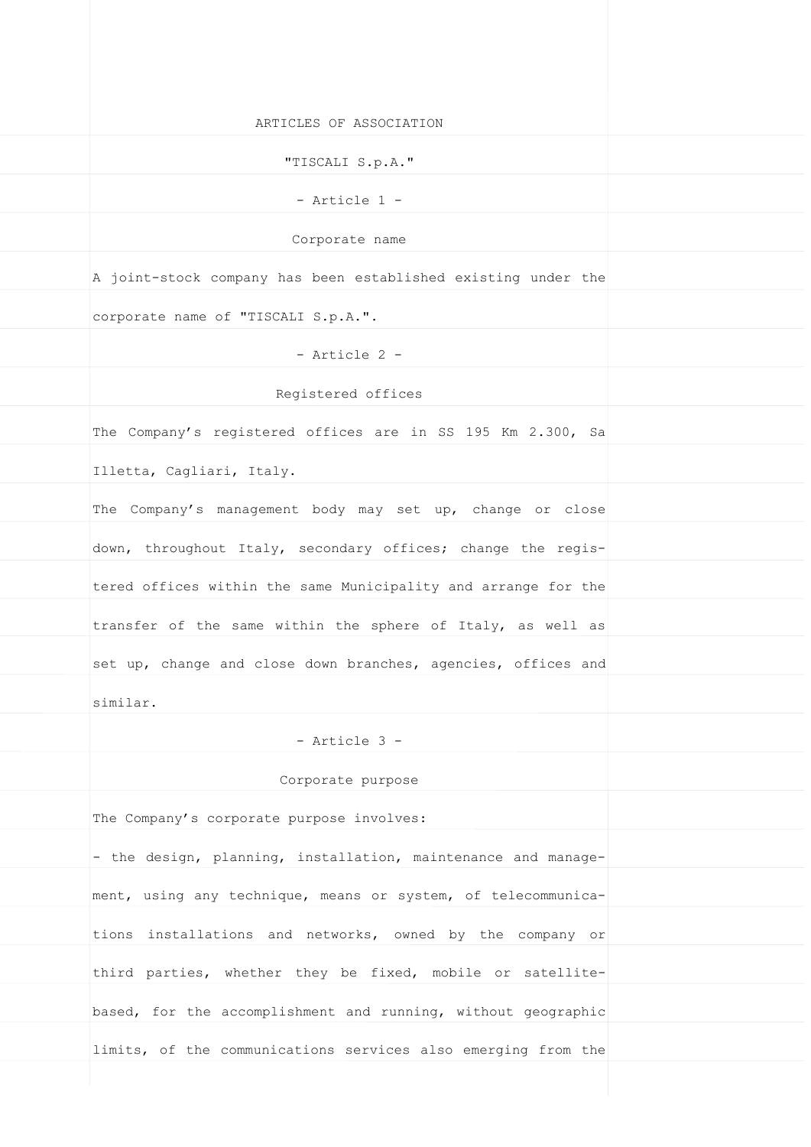| ARTICLES OF ASSOCIATION                                        |  |
|----------------------------------------------------------------|--|
| "TISCALI S.p.A."                                               |  |
| - Article 1 -                                                  |  |
| Corporate name                                                 |  |
| A joint-stock company has been established existing under the  |  |
|                                                                |  |
| corporate name of "TISCALI S.p.A.".                            |  |
| - Article 2 -                                                  |  |
| Registered offices                                             |  |
| The Company's registered offices are in SS 195 Km 2.300, Sa    |  |
| Illetta, Cagliari, Italy.                                      |  |
| The Company's management body may set up, change or close      |  |
| down, throughout Italy, secondary offices; change the regis-   |  |
| tered offices within the same Municipality and arrange for the |  |
| transfer of the same within the sphere of Italy, as well as    |  |
| set up, change and close down branches, agencies, offices and  |  |
| similar.                                                       |  |
| - Article 3 -                                                  |  |
| Corporate purpose                                              |  |
| The Company's corporate purpose involves:                      |  |
| - the design, planning, installation, maintenance and manage-  |  |
| ment, using any technique, means or system, of telecommunica-  |  |
| tions installations and networks, owned by the company or      |  |
|                                                                |  |
| third parties, whether they be fixed, mobile or satellite-     |  |
| based, for the accomplishment and running, without geographic  |  |
| limits, of the communications services also emerging from the  |  |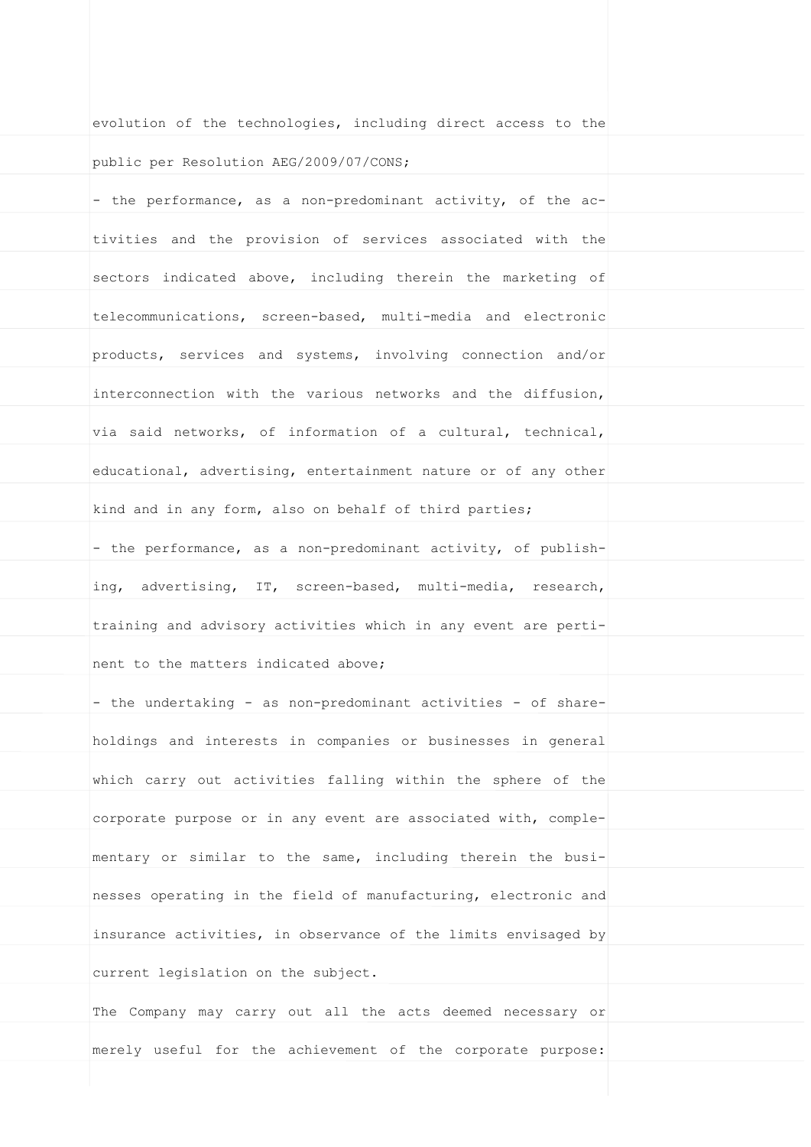| evolution of the technologies, including direct access to the  |  |
|----------------------------------------------------------------|--|
| public per Resolution AEG/2009/07/CONS;                        |  |
| - the performance, as a non-predominant activity, of the ac-   |  |
| tivities and the provision of services associated with the     |  |
| sectors indicated above, including therein the marketing of    |  |
| telecommunications, screen-based, multi-media and electronic   |  |
| products, services and systems, involving connection and/or    |  |
| interconnection with the various networks and the diffusion,   |  |
| via said networks, of information of a cultural, technical,    |  |
| educational, advertising, entertainment nature or of any other |  |
| kind and in any form, also on behalf of third parties;         |  |
| - the performance, as a non-predominant activity, of publish-  |  |
| ing, advertising, IT, screen-based, multi-media, research,     |  |
| training and advisory activities which in any event are perti- |  |
| nent to the matters indicated above;                           |  |
| - the undertaking - as non-predominant activities - of share-  |  |
| holdings and interests in companies or businesses in general   |  |
| which carry out activities falling within the sphere of the    |  |
| corporate purpose or in any event are associated with, comple- |  |
| mentary or similar to the same, including therein the busi-    |  |
| nesses operating in the field of manufacturing, electronic and |  |
| insurance activities, in observance of the limits envisaged by |  |
| current legislation on the subject.                            |  |
| The Company may carry out all the acts deemed necessary or     |  |
| merely useful for the achievement of the corporate purpose:    |  |
|                                                                |  |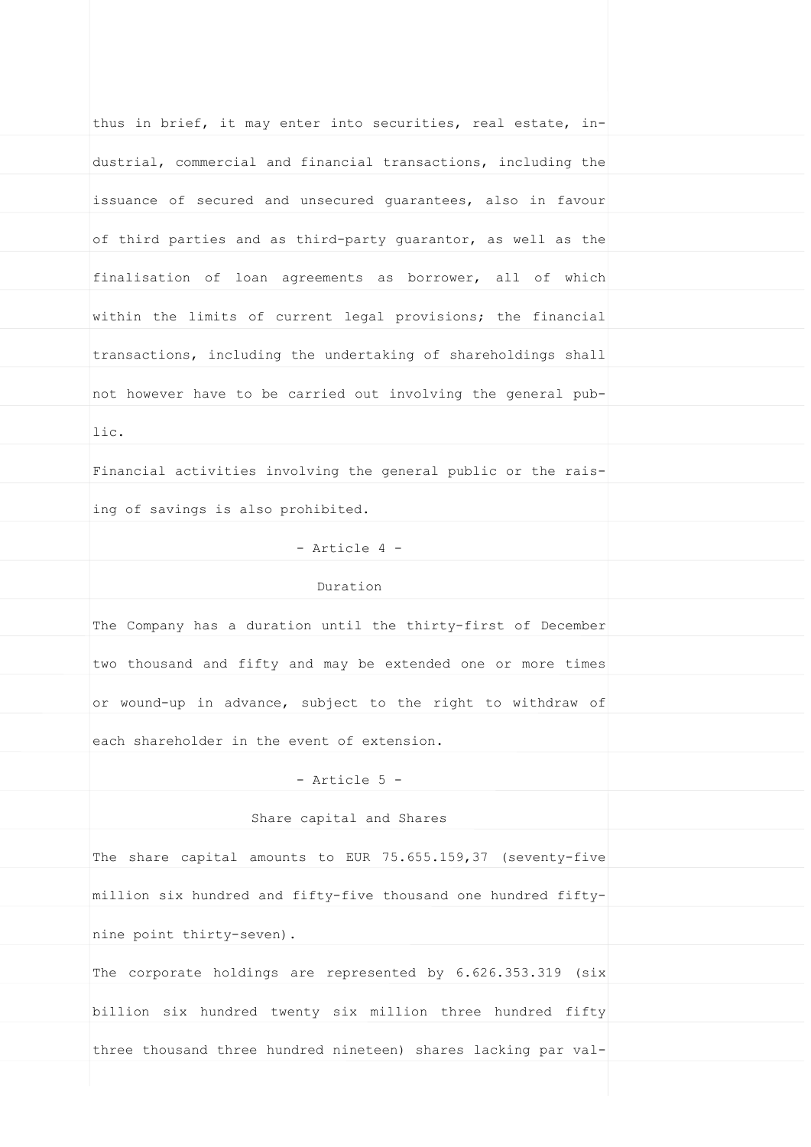| thus in brief, it may enter into securities, real estate, in-  |  |
|----------------------------------------------------------------|--|
| dustrial, commercial and financial transactions, including the |  |
| issuance of secured and unsecured guarantees, also in favour   |  |
| of third parties and as third-party quarantor, as well as the  |  |
| finalisation of loan agreements as borrower, all of which      |  |
| within the limits of current legal provisions; the financial   |  |
| transactions, including the undertaking of shareholdings shall |  |
| not however have to be carried out involving the general pub-  |  |
| lic.                                                           |  |
| Financial activities involving the general public or the rais- |  |
| ing of savings is also prohibited.                             |  |
| - Article 4 -                                                  |  |
| Duration                                                       |  |
| The Company has a duration until the thirty-first of December  |  |
| two thousand and fifty and may be extended one or more times   |  |
| or wound-up in advance, subject to the right to withdraw of    |  |
| each shareholder in the event of extension.                    |  |
| - Article 5 -                                                  |  |
| Share capital and Shares                                       |  |
| The share capital amounts to EUR 75.655.159,37 (seventy-five   |  |
| million six hundred and fifty-five thousand one hundred fifty- |  |
| nine point thirty-seven).                                      |  |
| The corporate holdings are represented by 6.626.353.319 (six   |  |
| billion six hundred twenty six million three hundred fifty     |  |
| three thousand three hundred nineteen) shares lacking par val- |  |
|                                                                |  |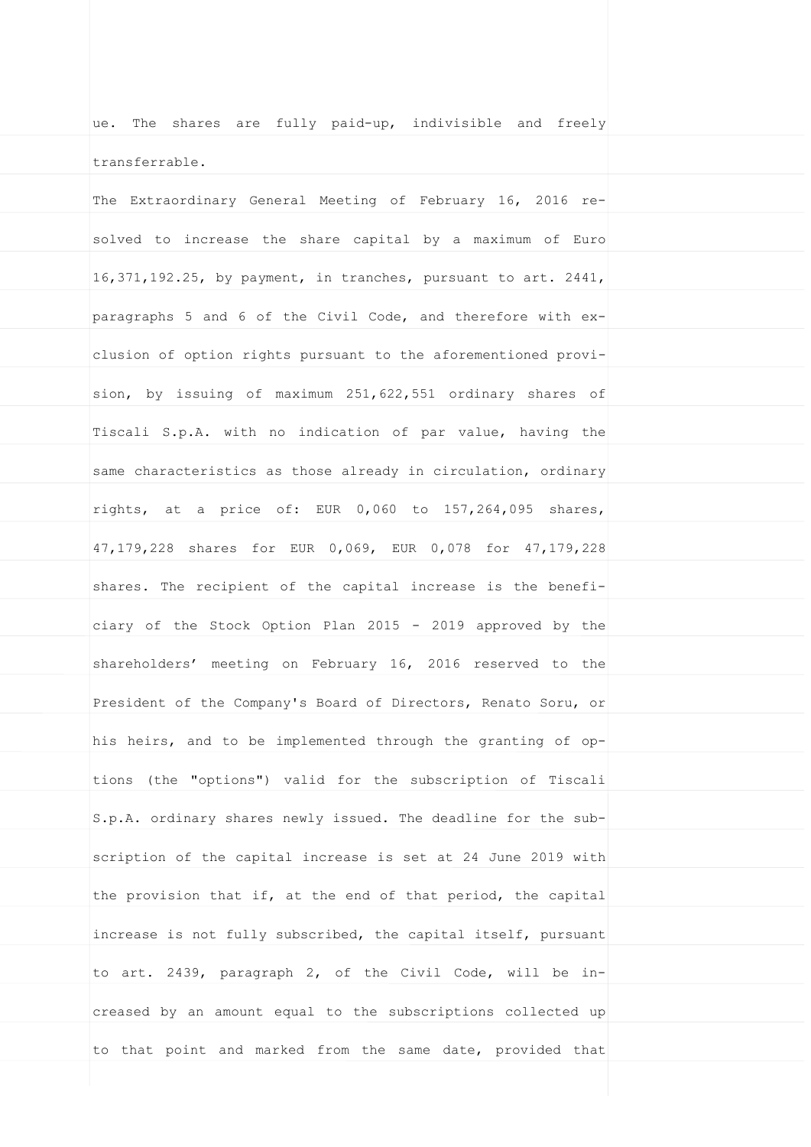| ue. The shares are fully paid-up, indivisible and freely       |  |
|----------------------------------------------------------------|--|
| transferrable.                                                 |  |
| The Extraordinary General Meeting of February 16, 2016 re-     |  |
| solved to increase the share capital by a maximum of Euro      |  |
| 16,371,192.25, by payment, in tranches, pursuant to art. 2441, |  |
| paragraphs 5 and 6 of the Civil Code, and therefore with ex-   |  |
| clusion of option rights pursuant to the aforementioned provi- |  |
| sion, by issuing of maximum 251,622,551 ordinary shares of     |  |
| Tiscali S.p.A. with no indication of par value, having the     |  |
| same characteristics as those already in circulation, ordinary |  |
| rights, at a price of: EUR 0,060 to 157,264,095 shares,        |  |
| 47,179,228 shares for EUR 0,069, EUR 0,078 for 47,179,228      |  |
| shares. The recipient of the capital increase is the benefi-   |  |
| ciary of the Stock Option Plan 2015 - 2019 approved by the     |  |
| shareholders' meeting on February 16, 2016 reserved to the     |  |
| President of the Company's Board of Directors, Renato Soru, or |  |
| his heirs, and to be implemented through the granting of op-   |  |
| tions (the "options") valid for the subscription of Tiscali    |  |
| S.p.A. ordinary shares newly issued. The deadline for the sub- |  |
| scription of the capital increase is set at 24 June 2019 with  |  |
| the provision that if, at the end of that period, the capital  |  |
| increase is not fully subscribed, the capital itself, pursuant |  |
| to art. 2439, paragraph 2, of the Civil Code, will be in-      |  |
| creased by an amount equal to the subscriptions collected up   |  |
| to that point and marked from the same date, provided that     |  |
|                                                                |  |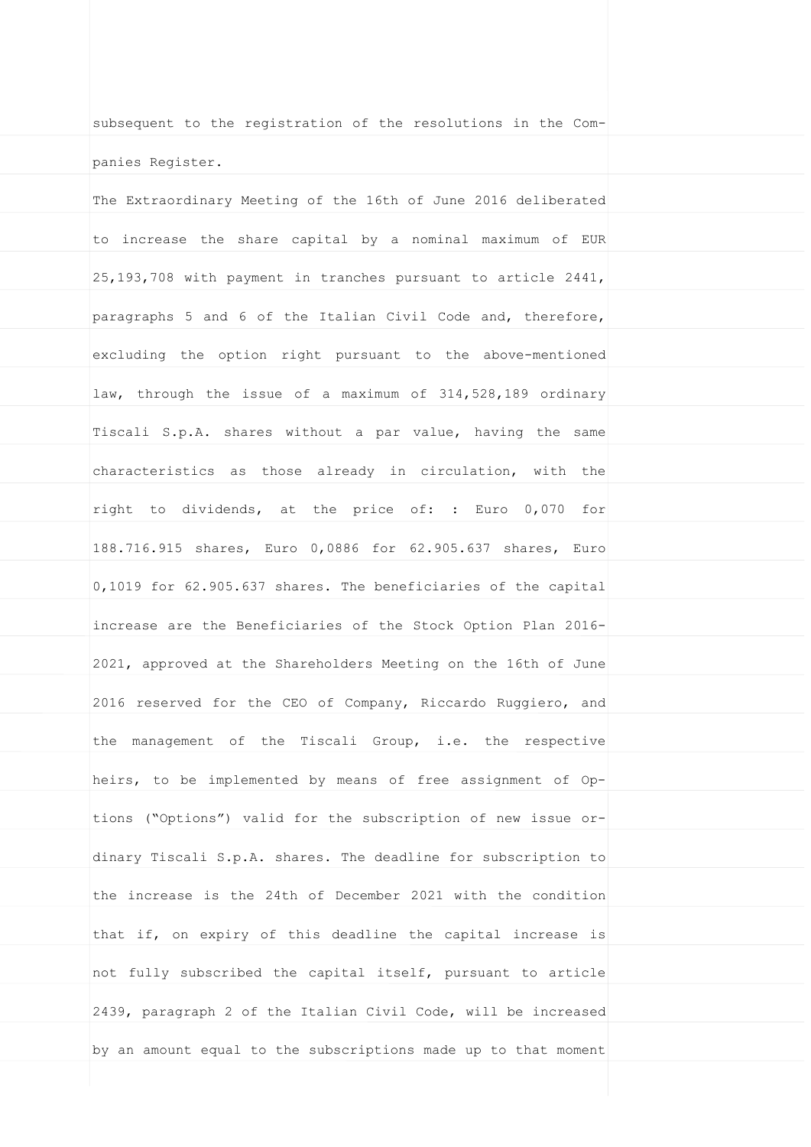| subsequent to the registration of the resolutions in the Com-  |  |
|----------------------------------------------------------------|--|
| panies Register.                                               |  |
| The Extraordinary Meeting of the 16th of June 2016 deliberated |  |
| to increase the share capital by a nominal maximum of EUR      |  |
| 25,193,708 with payment in tranches pursuant to article 2441,  |  |
| paragraphs 5 and 6 of the Italian Civil Code and, therefore,   |  |
| excluding the option right pursuant to the above-mentioned     |  |
| law, through the issue of a maximum of 314,528,189 ordinary    |  |
| Tiscali S.p.A. shares without a par value, having the same     |  |
| characteristics as those already in circulation, with the      |  |
| right to dividends, at the price of: : Euro 0,070 for          |  |
| 188.716.915 shares, Euro 0,0886 for 62.905.637 shares, Euro    |  |
| 0,1019 for 62.905.637 shares. The beneficiaries of the capital |  |
| increase are the Beneficiaries of the Stock Option Plan 2016-  |  |
| 2021, approved at the Shareholders Meeting on the 16th of June |  |
| 2016 reserved for the CEO of Company, Riccardo Ruggiero, and   |  |
| the management of the Tiscali Group, i.e. the respective       |  |
| heirs, to be implemented by means of free assignment of Op-    |  |
| tions ("Options") valid for the subscription of new issue or-  |  |
| dinary Tiscali S.p.A. shares. The deadline for subscription to |  |
| the increase is the 24th of December 2021 with the condition   |  |
| that if, on expiry of this deadline the capital increase is    |  |
| not fully subscribed the capital itself, pursuant to article   |  |
| 2439, paragraph 2 of the Italian Civil Code, will be increased |  |
| by an amount equal to the subscriptions made up to that moment |  |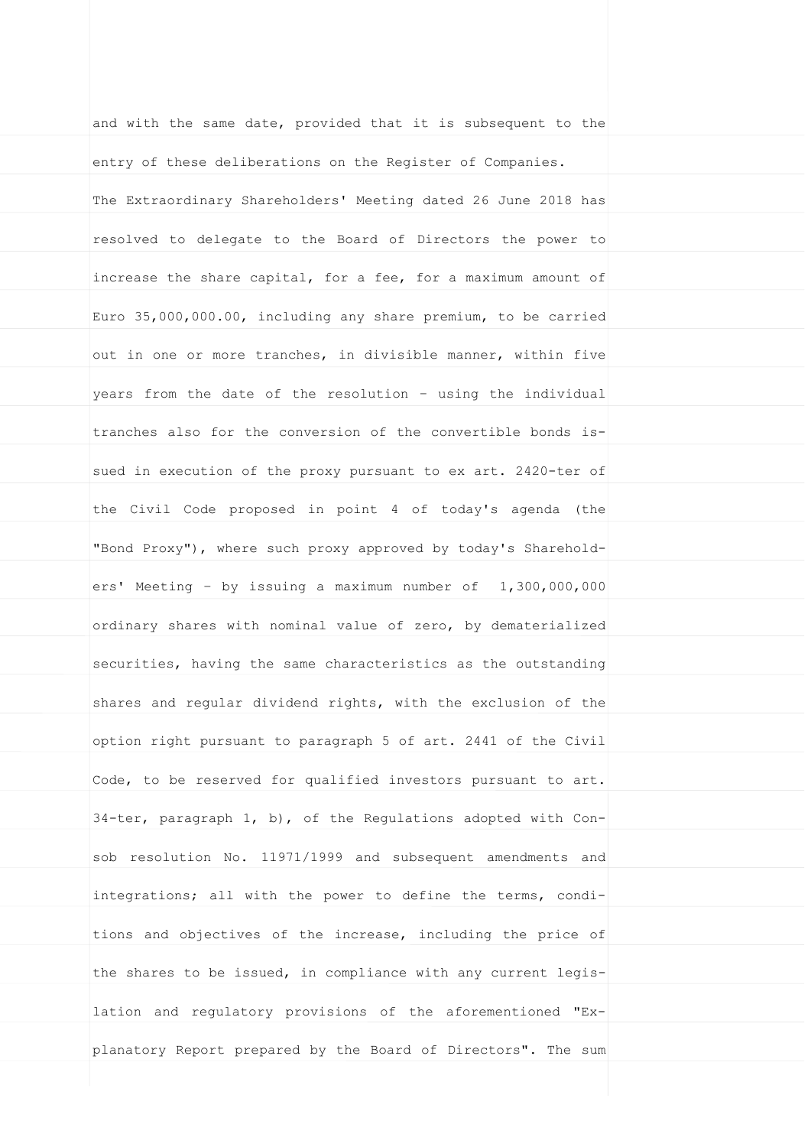| and with the same date, provided that it is subsequent to the  |  |
|----------------------------------------------------------------|--|
| entry of these deliberations on the Register of Companies.     |  |
| The Extraordinary Shareholders' Meeting dated 26 June 2018 has |  |
| resolved to delegate to the Board of Directors the power to    |  |
| increase the share capital, for a fee, for a maximum amount of |  |
| Euro 35,000,000.00, including any share premium, to be carried |  |
| out in one or more tranches, in divisible manner, within five  |  |
| years from the date of the resolution - using the individual   |  |
| tranches also for the conversion of the convertible bonds is-  |  |
| sued in execution of the proxy pursuant to ex art. 2420-ter of |  |
| the Civil Code proposed in point 4 of today's agenda (the      |  |
| "Bond Proxy"), where such proxy approved by today's Sharehold- |  |
| ers' Meeting - by issuing a maximum number of 1,300,000,000    |  |
| ordinary shares with nominal value of zero, by dematerialized  |  |
| securities, having the same characteristics as the outstanding |  |
| shares and regular dividend rights, with the exclusion of the  |  |
| option right pursuant to paragraph 5 of art. 2441 of the Civil |  |
| Code, to be reserved for qualified investors pursuant to art.  |  |
| 34-ter, paragraph 1, b), of the Regulations adopted with Con-  |  |
| sob resolution No. 11971/1999 and subsequent amendments and    |  |
| integrations; all with the power to define the terms, condi-   |  |
| tions and objectives of the increase, including the price of   |  |
| the shares to be issued, in compliance with any current legis- |  |
| lation and regulatory provisions of the aforementioned "Ex-    |  |
| planatory Report prepared by the Board of Directors". The sum  |  |
|                                                                |  |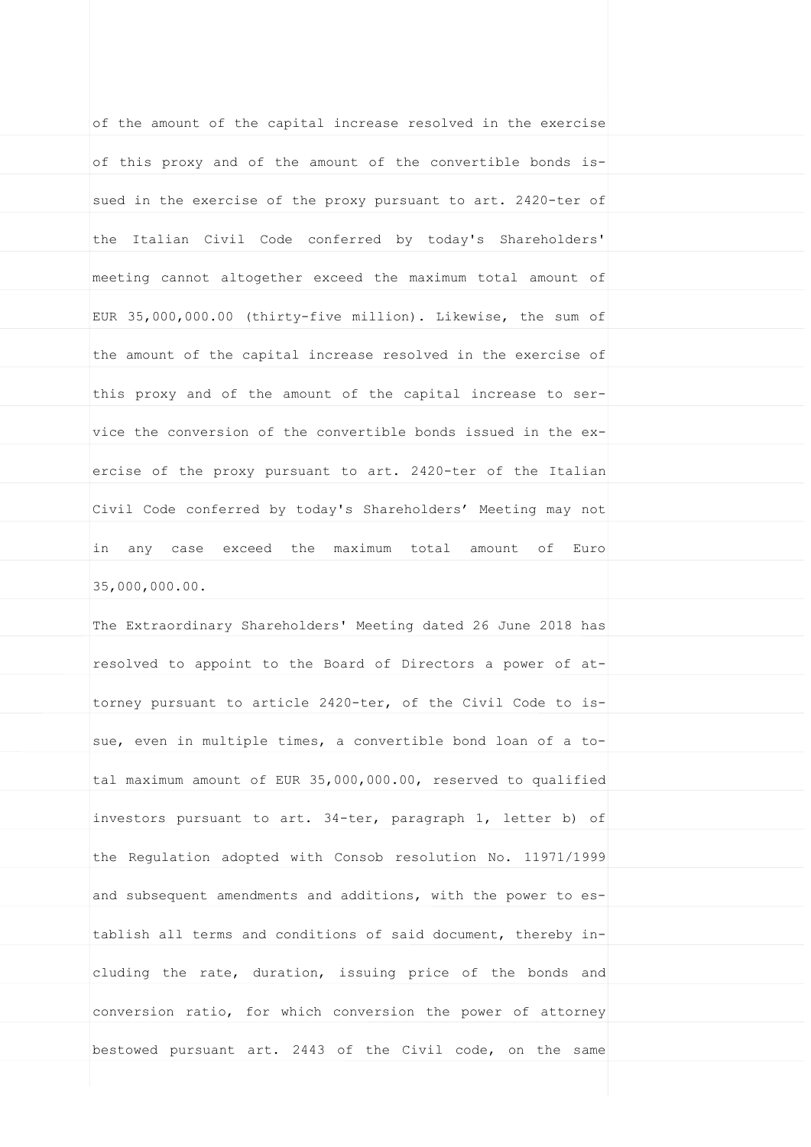of the amount of the capital increase resolved in the exercise of this proxy and of the amount of the convertible bonds issued in the exercise of the proxy pursuant to art. 2420-ter of the Italian Civil Code conferred by today's Shareholders' meeting cannot altogether exceed the maximum total amount of EUR 35,000,000.00 (thirty-five million). Likewise, the sum of the amount of the capital increase resolved in the exercise of this proxy and of the amount of the capital increase to service the conversion of the convertible bonds issued in the exercise of the proxy pursuant to art. 2420-ter of the Italian Civil Code conferred by today's Shareholders' Meeting may not in any case exceed the maximum total amount of Euro 35,000,000.00. The Extraordinary Shareholders' Meeting dated 26 June 2018 has resolved to appoint to the Board of Directors a power of attorney pursuant to article 2420-ter, of the Civil Code to issue, even in multiple times, a convertible bond loan of a total maximum amount of EUR 35,000,000.00, reserved to qualified investors pursuant to art. 34-ter, paragraph 1, letter b) of the Regulation adopted with Consob resolution No. 11971/1999 and subsequent amendments and additions, with the power to establish all terms and conditions of said document, thereby including the rate, duration, issuing price of the bonds and conversion ratio, for which conversion the power of attorney bestowed pursuant art. 2443 of the Civil code, on the same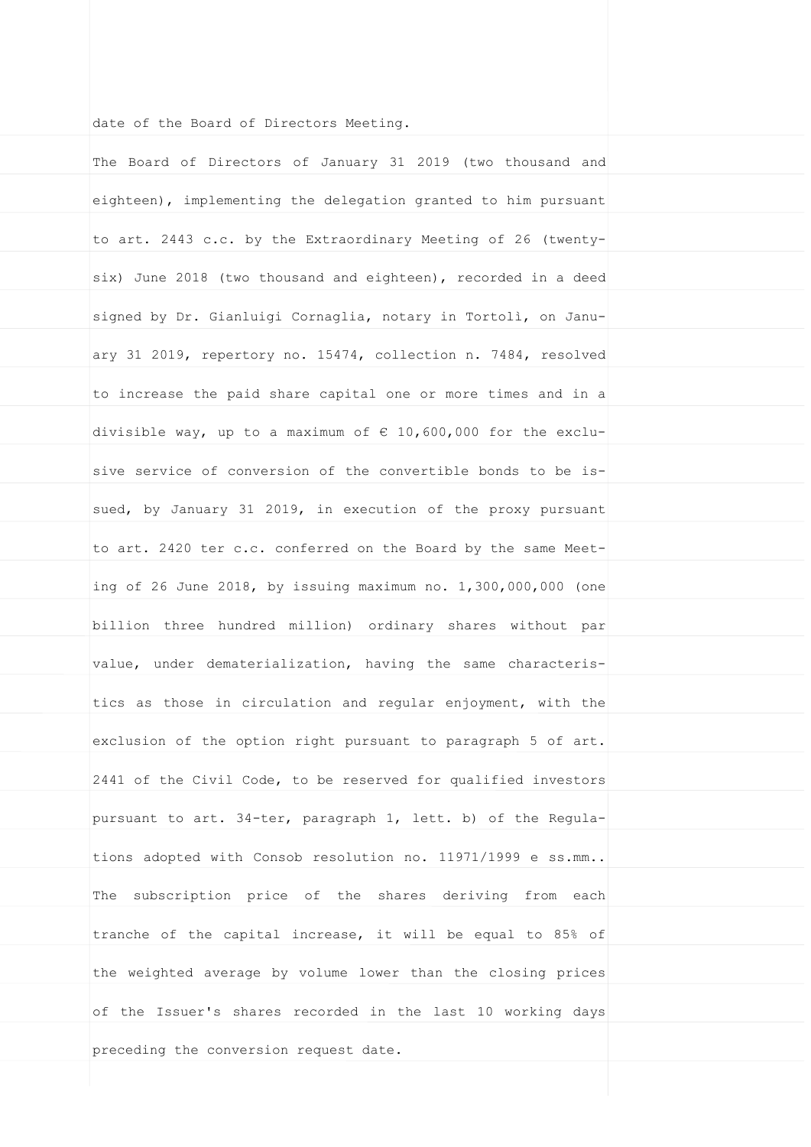date of the Board of Directors Meeting.

The Board of Directors of January 31 2019 (two thousand and eighteen), implementing the delegation granted to him pursuant to art. 2443 c.c. by the Extraordinary Meeting of 26 (twentysix) June 2018 (two thousand and eighteen), recorded in a deed signed by Dr. Gianluigi Cornaglia, notary in Tortolì, on January 31 2019, repertory no. 15474, collection n. 7484, resolved to increase the paid share capital one or more times and in a divisible way, up to a maximum of  $\epsilon$  10,600,000 for the exclusive service of conversion of the convertible bonds to be issued, by January 31 2019, in execution of the proxy pursuant to art. 2420 ter c.c. conferred on the Board by the same Meeting of 26 June 2018, by issuing maximum no. 1,300,000,000 (one billion three hundred million) ordinary shares without par value, under dematerialization, having the same characteristics as those in circulation and regular enjoyment, with the exclusion of the option right pursuant to paragraph 5 of art. 2441 of the Civil Code, to be reserved for qualified investors pursuant to art. 34-ter, paragraph 1, lett. b) of the Regulations adopted with Consob resolution no. 11971/1999 e ss.mm.. The subscription price of the shares deriving from each tranche of the capital increase, it will be equal to 85% of the weighted average by volume lower than the closing prices of the Issuer's shares recorded in the last 10 working days preceding the conversion request date.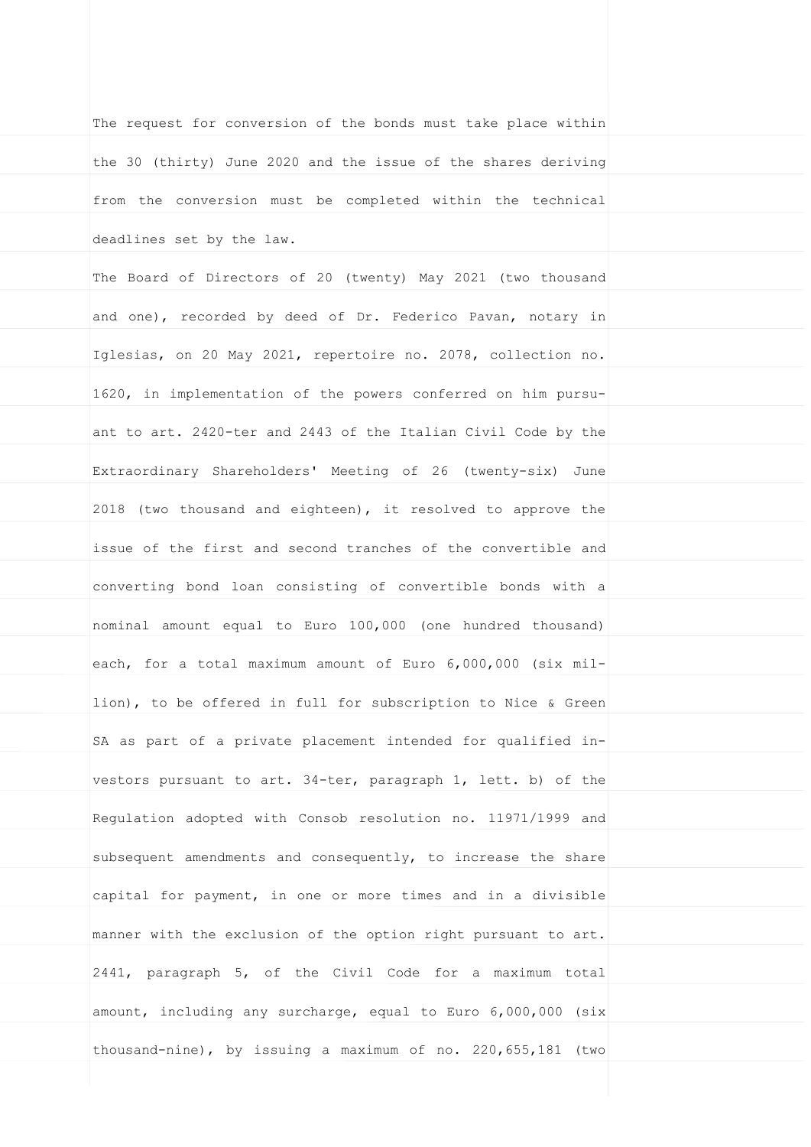The request for conversion of the bonds must take place within the 30 (thirty) June 2020 and the issue of the shares deriving from the conversion must be completed within the technical deadlines set by the law. The Board of Directors of 20 (twenty) May 2021 (two thousand and one), recorded by deed of Dr. Federico Pavan, notary in Iglesias, on 20 May 2021, repertoire no. 2078, collection no. 1620, in implementation of the powers conferred on him pursuant to art. 2420-ter and 2443 of the Italian Civil Code by the Extraordinary Shareholders' Meeting of 26 (twenty-six) June 2018 (two thousand and eighteen), it resolved to approve the issue of the first and second tranches of the convertible and converting bond loan consisting of convertible bonds with a nominal amount equal to Euro 100,000 (one hundred thousand) each, for a total maximum amount of Euro 6,000,000 (six million), to be offered in full for subscription to Nice & Green SA as part of a private placement intended for qualified investors pursuant to art. 34-ter, paragraph 1, lett. b) of the Regulation adopted with Consob resolution no. 11971/1999 and subsequent amendments and consequently, to increase the share capital for payment, in one or more times and in a divisible manner with the exclusion of the option right pursuant to art. 2441, paragraph 5, of the Civil Code for a maximum total amount, including any surcharge, equal to Euro 6,000,000 (six thousand-nine), by issuing a maximum of no. 220,655,181 (two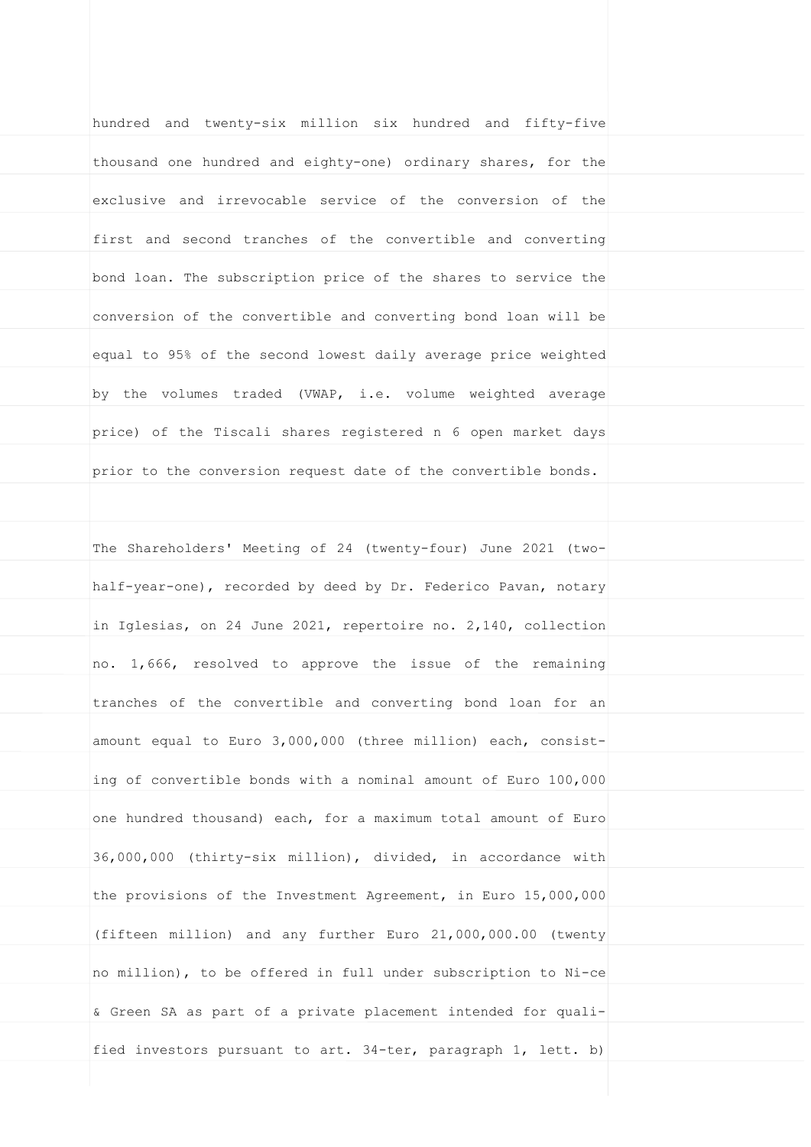hundred and twenty-six million six hundred and fifty-five thousand one hundred and eighty-one) ordinary shares, for the exclusive and irrevocable service of the conversion of the first and second tranches of the convertible and converting bond loan. The subscription price of the shares to service the conversion of the convertible and converting bond loan will be equal to 95% of the second lowest daily average price weighted by the volumes traded (VWAP, i.e. volume weighted average price) of the Tiscali shares registered n 6 open market days prior to the conversion request date of the convertible bonds. The Shareholders' Meeting of 24 (twenty-four) June 2021 (twohalf-year-one), recorded by deed by Dr. Federico Pavan, notary in Iglesias, on 24 June 2021, repertoire no. 2,140, collection no. 1,666, resolved to approve the issue of the remaining tranches of the convertible and converting bond loan for an amount equal to Euro 3,000,000 (three million) each, consisting of convertible bonds with a nominal amount of Euro 100,000

one hundred thousand) each, for a maximum total amount of Euro 36,000,000 (thirty-six million), divided, in accordance with the provisions of the Investment Agreement, in Euro 15,000,000 (fifteen million) and any further Euro 21,000,000.00 (twenty no million), to be offered in full under subscription to Ni-ce & Green SA as part of a private placement intended for qualified investors pursuant to art. 34-ter, paragraph 1, lett. b)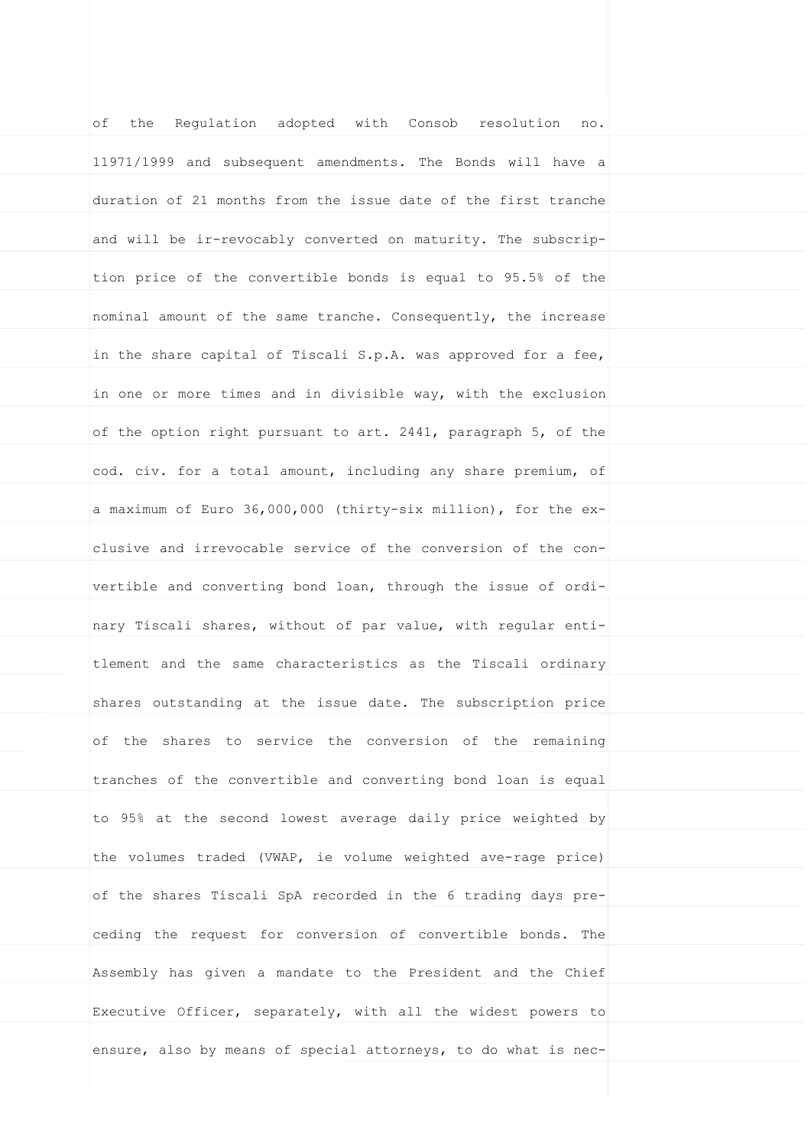of the Regulation adopted with Consob resolution no. 11971/1999 and subsequent amendments. The Bonds will have a duration of 21 months from the issue date of the first tranche and will be ir-revocably converted on maturity. The subscription price of the convertible bonds is equal to 95.5% of the nominal amount of the same tranche. Consequently, the increase in the share capital of Tiscali S.p.A. was approved for a fee, in one or more times and in divisible way, with the exclusion of the option right pursuant to art. 2441, paragraph 5, of the cod. civ. for a total amount, including any share premium, of a maximum of Euro 36,000,000 (thirty-six million), for the exclusive and irrevocable service of the conversion of the convertible and converting bond loan, through the issue of ordinary Tiscali shares, without of par value, with regular entitlement and the same characteristics as the Tiscali ordinary shares outstanding at the issue date. The subscription price of the shares to service the conversion of the remaining tranches of the convertible and converting bond loan is equal to 95% at the second lowest average daily price weighted by the volumes traded (VWAP, ie volume weighted ave-rage price) of the shares Tiscali SpA recorded in the 6 trading days preceding the request for conversion of convertible bonds. The Assembly has given a mandate to the President and the Chief Executive Officer, separately, with all the widest powers to ensure, also by means of special attorneys, to do what is nec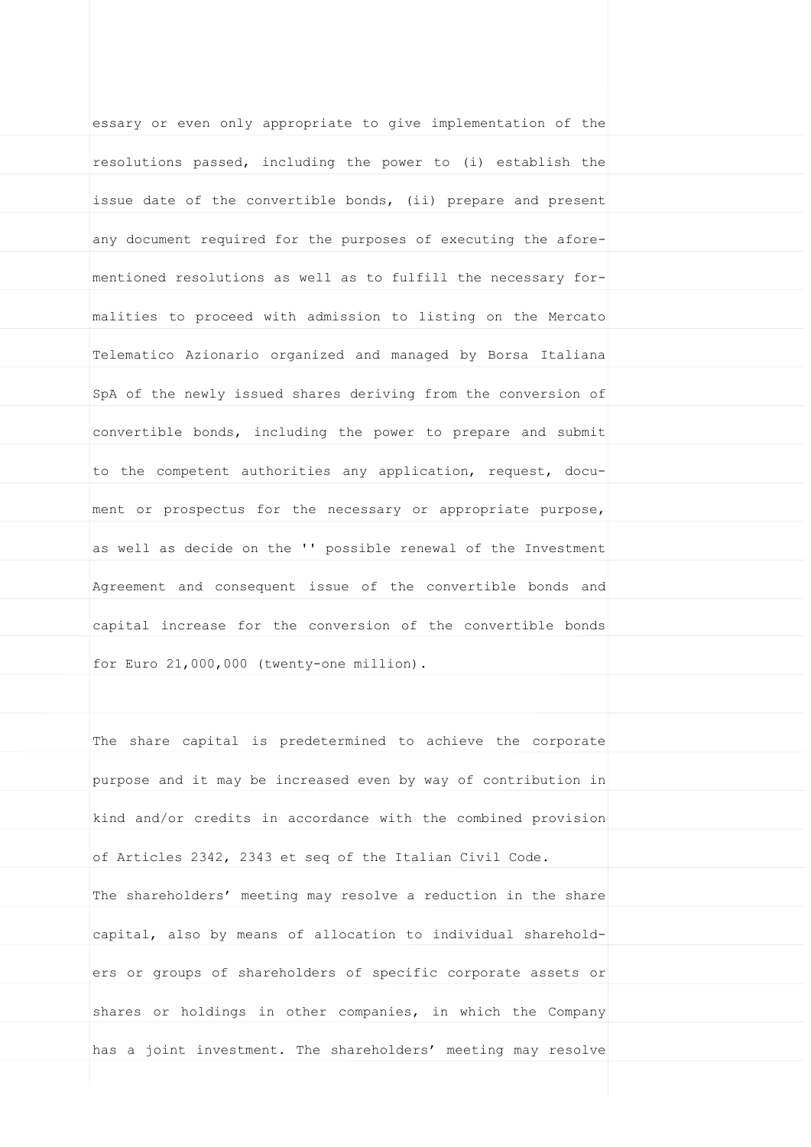essary or even only appropriate to give implementation of the resolutions passed, including the power to (i) establish the issue date of the convertible bonds, (ii) prepare and present any document required for the purposes of executing the aforementioned resolutions as well as to fulfill the necessary formalities to proceed with admission to listing on the Mercato Telematico Azionario organized and managed by Borsa Italiana SpA of the newly issued shares deriving from the conversion of convertible bonds, including the power to prepare and submit to the competent authorities any application, request, document or prospectus for the necessary or appropriate purpose, as well as decide on the '' possible renewal of the Investment Agreement and consequent issue of the convertible bonds and capital increase for the conversion of the convertible bonds for Euro 21,000,000 (twenty-one million). The share capital is predetermined to achieve the corporate purpose and it may be increased even by way of contribution in kind and/or credits in accordance with the combined provision of Articles 2342, 2343 et seq of the Italian Civil Code. The shareholders' meeting may resolve a reduction in the share capital, also by means of allocation to individual shareholders or groups of shareholders of specific corporate assets or shares or holdings in other companies, in which the Company has a joint investment. The shareholders' meeting may resolve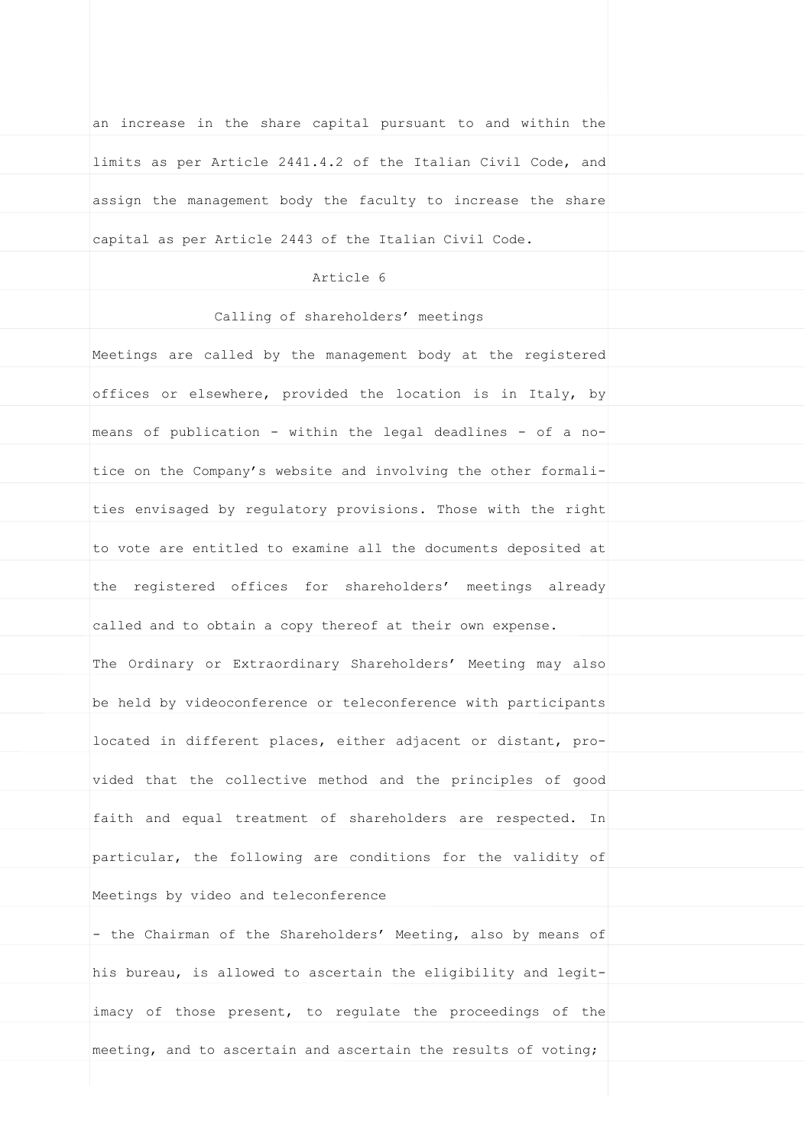| an increase in the share capital pursuant to and within the    |  |
|----------------------------------------------------------------|--|
| limits as per Article 2441.4.2 of the Italian Civil Code, and  |  |
| assign the management body the faculty to increase the share   |  |
| capital as per Article 2443 of the Italian Civil Code.         |  |
| Article 6                                                      |  |
| Calling of shareholders' meetings                              |  |
| Meetings are called by the management body at the registered   |  |
| offices or elsewhere, provided the location is in Italy, by    |  |
| means of publication - within the legal deadlines - of a no-   |  |
| tice on the Company's website and involving the other formali- |  |
| ties envisaged by regulatory provisions. Those with the right  |  |
| to vote are entitled to examine all the documents deposited at |  |
| the registered offices for shareholders' meetings already      |  |
| called and to obtain a copy thereof at their own expense.      |  |
| The Ordinary or Extraordinary Shareholders' Meeting may also   |  |
| be held by videoconference or teleconference with participants |  |
| located in different places, either adjacent or distant, pro-  |  |
| vided that the collective method and the principles of good    |  |
| faith and equal treatment of shareholders are respected. In    |  |
| particular, the following are conditions for the validity of   |  |
| Meetings by video and teleconference                           |  |
| - the Chairman of the Shareholders' Meeting, also by means of  |  |
| his bureau, is allowed to ascertain the eligibility and legit- |  |
| imacy of those present, to regulate the proceedings of the     |  |
| meeting, and to ascertain and ascertain the results of voting; |  |
|                                                                |  |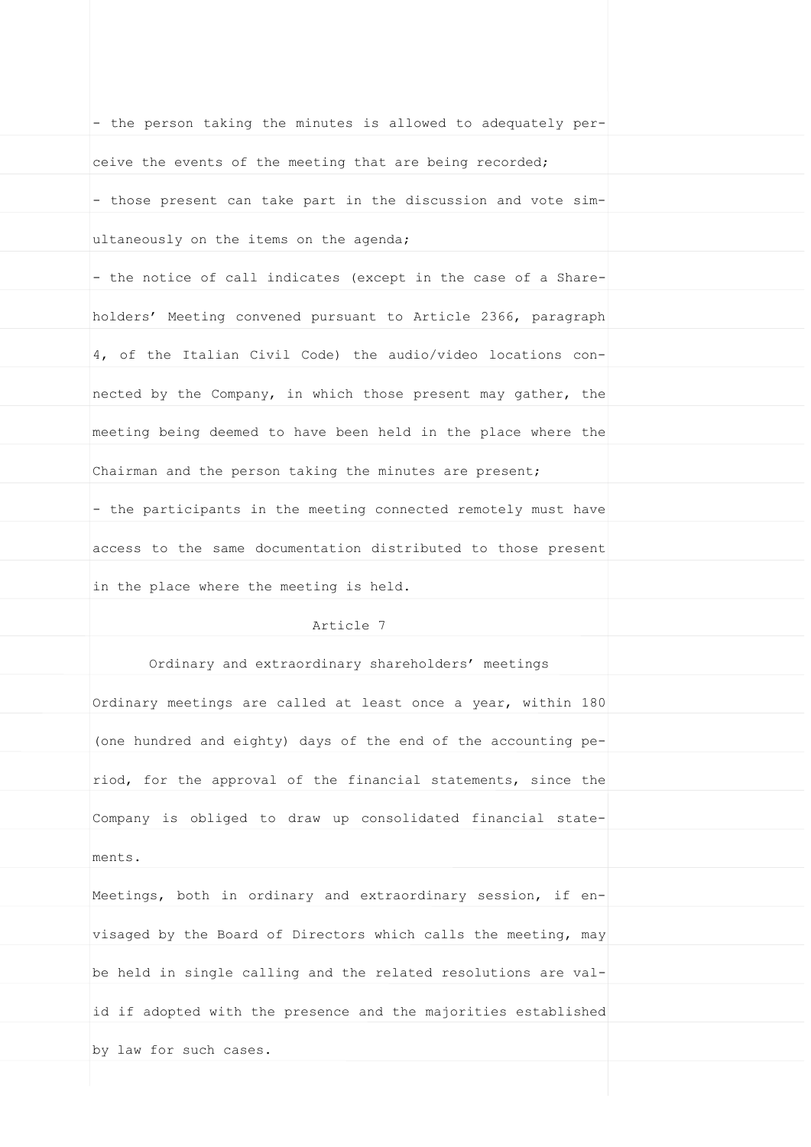| - the person taking the minutes is allowed to adequately per-  |  |
|----------------------------------------------------------------|--|
| ceive the events of the meeting that are being recorded;       |  |
| - those present can take part in the discussion and vote sim-  |  |
| ultaneously on the items on the agenda;                        |  |
| - the notice of call indicates (except in the case of a Share- |  |
| holders' Meeting convened pursuant to Article 2366, paragraph  |  |
| 4, of the Italian Civil Code) the audio/video locations con-   |  |
| nected by the Company, in which those present may gather, the  |  |
| meeting being deemed to have been held in the place where the  |  |
| Chairman and the person taking the minutes are present;        |  |
| - the participants in the meeting connected remotely must have |  |
| access to the same documentation distributed to those present  |  |
| in the place where the meeting is held.                        |  |
|                                                                |  |
| Article 7                                                      |  |
| Ordinary and extraordinary shareholders' meetings              |  |
| Ordinary meetings are called at least once a year, within 180  |  |
| (one hundred and eighty) days of the end of the accounting pe- |  |
| riod, for the approval of the financial statements, since the  |  |
| Company is obliged to draw up consolidated financial state-    |  |
| ments.                                                         |  |
| Meetings, both in ordinary and extraordinary session, if en-   |  |
| visaged by the Board of Directors which calls the meeting, may |  |
| be held in single calling and the related resolutions are val- |  |
| id if adopted with the presence and the majorities established |  |
| by law for such cases.                                         |  |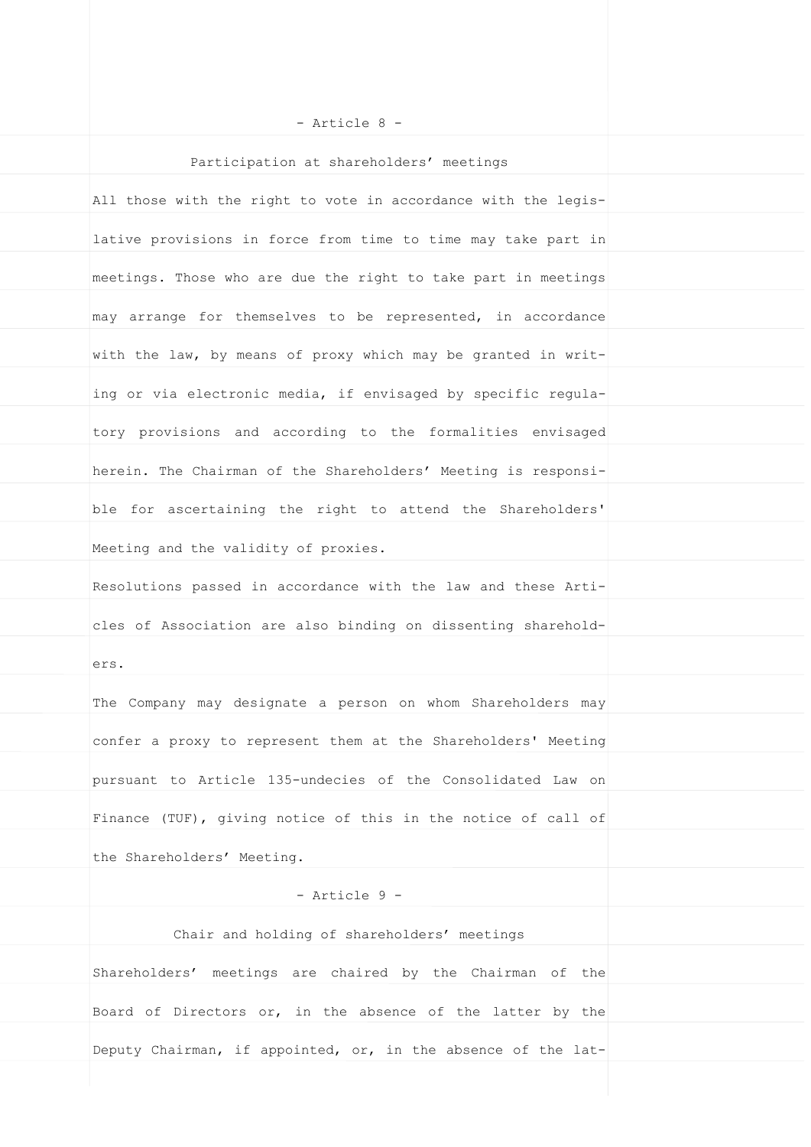| - Article 8 -                                                  |  |
|----------------------------------------------------------------|--|
| Participation at shareholders' meetings                        |  |
| All those with the right to vote in accordance with the legis- |  |
| lative provisions in force from time to time may take part in  |  |
| meetings. Those who are due the right to take part in meetings |  |
| may arrange for themselves to be represented, in accordance    |  |
| with the law, by means of proxy which may be granted in writ-  |  |
| ing or via electronic media, if envisaged by specific regula-  |  |
| tory provisions and according to the formalities envisaged     |  |
| herein. The Chairman of the Shareholders' Meeting is responsi- |  |
| ble for ascertaining the right to attend the Shareholders'     |  |
| Meeting and the validity of proxies.                           |  |
| Resolutions passed in accordance with the law and these Arti-  |  |
| cles of Association are also binding on dissenting sharehold-  |  |
| ers.                                                           |  |
| The Company may designate a person on whom Shareholders may    |  |
| confer a proxy to represent them at the Shareholders' Meeting  |  |
| pursuant to Article 135-undecies of the Consolidated Law on    |  |
| Finance (TUF), giving notice of this in the notice of call of  |  |
| the Shareholders' Meeting.                                     |  |
| - Article 9 -                                                  |  |
| Chair and holding of shareholders' meetings                    |  |
| Shareholders' meetings are chaired by the Chairman of the      |  |
| Board of Directors or, in the absence of the latter by the     |  |
| Deputy Chairman, if appointed, or, in the absence of the lat-  |  |
|                                                                |  |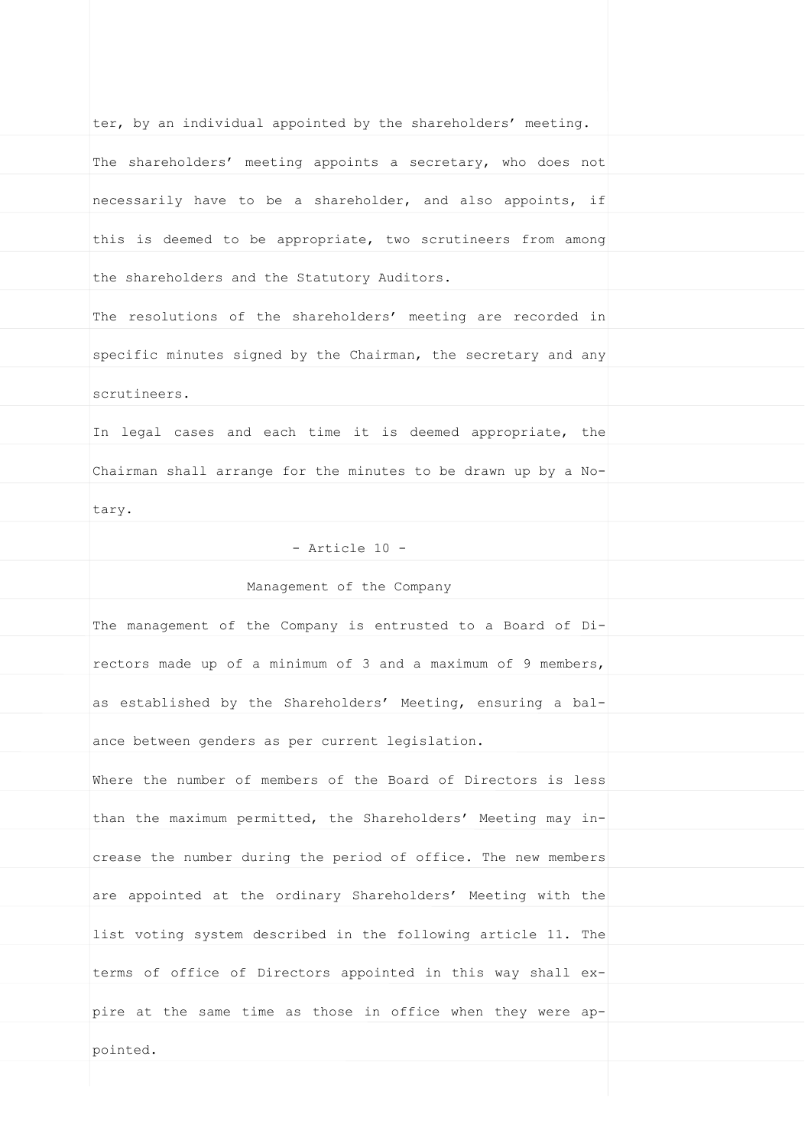| ter, by an individual appointed by the shareholders' meeting.  |  |
|----------------------------------------------------------------|--|
| The shareholders' meeting appoints a secretary, who does not   |  |
| necessarily have to be a shareholder, and also appoints, if    |  |
| this is deemed to be appropriate, two scrutineers from among   |  |
| the shareholders and the Statutory Auditors.                   |  |
| The resolutions of the shareholders' meeting are recorded in   |  |
| specific minutes signed by the Chairman, the secretary and any |  |
| scrutineers.                                                   |  |
| In legal cases and each time it is deemed appropriate, the     |  |
| Chairman shall arrange for the minutes to be drawn up by a No- |  |
| tary.                                                          |  |
| $-$ Article 10 $-$                                             |  |
| Management of the Company                                      |  |
| The management of the Company is entrusted to a Board of Di-   |  |
| rectors made up of a minimum of 3 and a maximum of 9 members,  |  |
| as established by the Shareholders' Meeting, ensuring a bal-   |  |
| ance between genders as per current legislation.               |  |
| Where the number of members of the Board of Directors is less  |  |
| than the maximum permitted, the Shareholders' Meeting may in-  |  |
| crease the number during the period of office. The new members |  |
| are appointed at the ordinary Shareholders' Meeting with the   |  |
| list voting system described in the following article 11. The  |  |
| terms of office of Directors appointed in this way shall ex-   |  |
| pire at the same time as those in office when they were ap-    |  |
| pointed.                                                       |  |
|                                                                |  |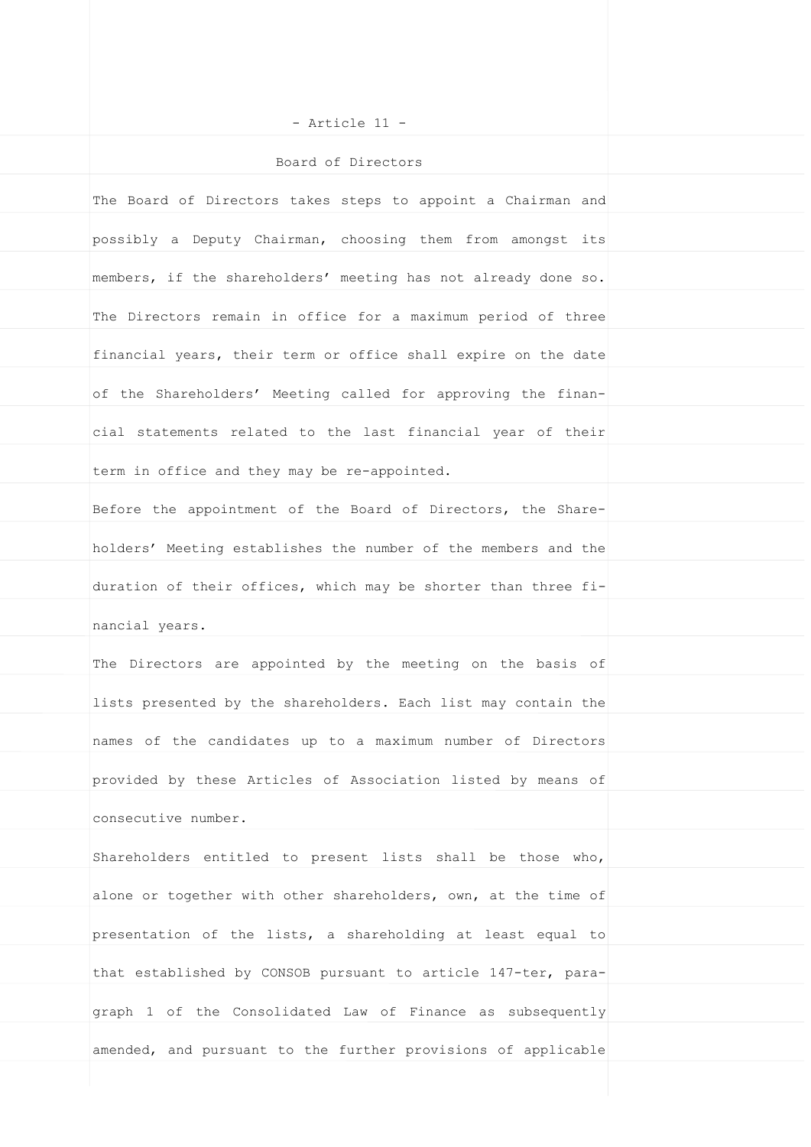| - Article 11 -                                                 |  |
|----------------------------------------------------------------|--|
| Board of Directors                                             |  |
| The Board of Directors takes steps to appoint a Chairman and   |  |
| possibly a Deputy Chairman, choosing them from amongst its     |  |
| members, if the shareholders' meeting has not already done so. |  |
| The Directors remain in office for a maximum period of three   |  |
| financial years, their term or office shall expire on the date |  |
| of the Shareholders' Meeting called for approving the finan-   |  |
| cial statements related to the last financial year of their    |  |
| term in office and they may be re-appointed.                   |  |
| Before the appointment of the Board of Directors, the Share-   |  |
| holders' Meeting establishes the number of the members and the |  |
| duration of their offices, which may be shorter than three fi- |  |
| nancial years.                                                 |  |
| The Directors are appointed by the meeting on the basis of     |  |
| lists presented by the shareholders. Each list may contain the |  |
| names of the candidates up to a maximum number of Directors    |  |
| provided by these Articles of Association listed by means of   |  |
| consecutive number.                                            |  |
| Shareholders entitled to present lists shall be those who,     |  |
| alone or together with other shareholders, own, at the time of |  |
| presentation of the lists, a shareholding at least equal to    |  |
| that established by CONSOB pursuant to article 147-ter, para-  |  |
| graph 1 of the Consolidated Law of Finance as subsequently     |  |
| amended, and pursuant to the further provisions of applicable  |  |
|                                                                |  |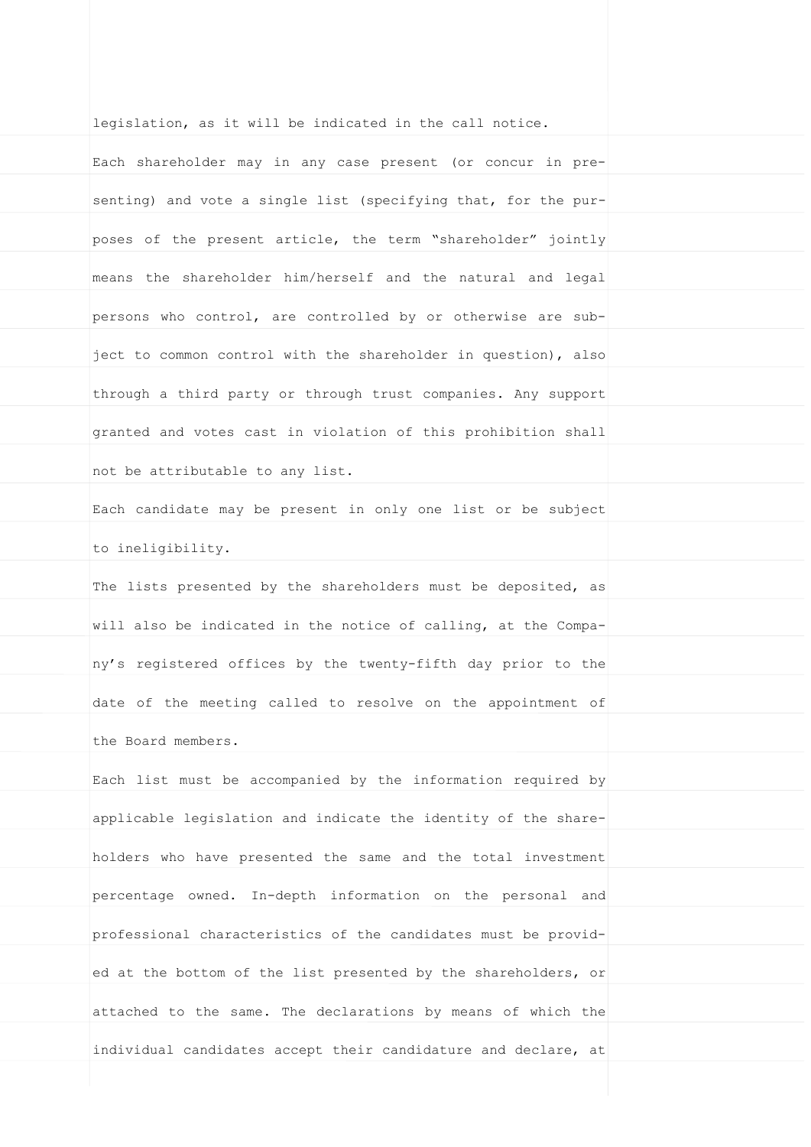| legislation, as it will be indicated in the call notice.       |  |
|----------------------------------------------------------------|--|
| Each shareholder may in any case present (or concur in pre-    |  |
| senting) and vote a single list (specifying that, for the pur- |  |
| poses of the present article, the term "shareholder" jointly   |  |
| means the shareholder him/herself and the natural and legal    |  |
| persons who control, are controlled by or otherwise are sub-   |  |
| ject to common control with the shareholder in question), also |  |
| through a third party or through trust companies. Any support  |  |
| granted and votes cast in violation of this prohibition shall  |  |
| not be attributable to any list.                               |  |
| Each candidate may be present in only one list or be subject   |  |
| to ineligibility.                                              |  |
| The lists presented by the shareholders must be deposited, as  |  |
| will also be indicated in the notice of calling, at the Compa- |  |
| ny's registered offices by the twenty-fifth day prior to the   |  |
| date of the meeting called to resolve on the appointment of    |  |
| the Board members.                                             |  |
| Each list must be accompanied by the information required by   |  |
| applicable legislation and indicate the identity of the share- |  |
| holders who have presented the same and the total investment   |  |
| percentage owned. In-depth information on the personal and     |  |
| professional characteristics of the candidates must be provid- |  |
| ed at the bottom of the list presented by the shareholders, or |  |
| attached to the same. The declarations by means of which the   |  |
| individual candidates accept their candidature and declare, at |  |
|                                                                |  |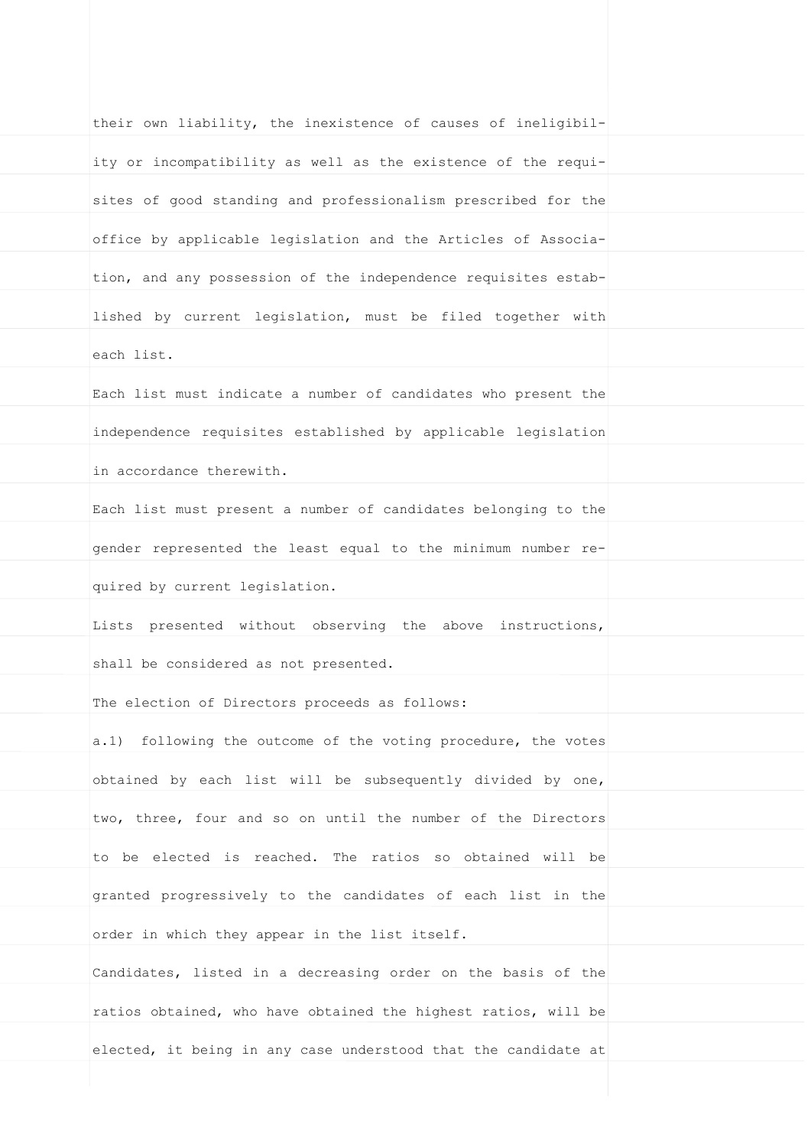| their own liability, the inexistence of causes of ineligibil-  |  |
|----------------------------------------------------------------|--|
| ity or incompatibility as well as the existence of the requi-  |  |
| sites of good standing and professionalism prescribed for the  |  |
| office by applicable legislation and the Articles of Associa-  |  |
| tion, and any possession of the independence requisites estab- |  |
| lished by current legislation, must be filed together with     |  |
| each list.                                                     |  |
| Each list must indicate a number of candidates who present the |  |
| independence requisites established by applicable legislation  |  |
| in accordance therewith.                                       |  |
| Each list must present a number of candidates belonging to the |  |
| gender represented the least equal to the minimum number re-   |  |
| quired by current legislation.                                 |  |
| Lists presented without observing the above instructions,      |  |
| shall be considered as not presented.                          |  |
| The election of Directors proceeds as follows:                 |  |
| a.1) following the outcome of the voting procedure, the votes  |  |
|                                                                |  |
| obtained by each list will be subsequently divided by one,     |  |
| two, three, four and so on until the number of the Directors   |  |
| to be elected is reached. The ratios so obtained will be       |  |
| granted progressively to the candidates of each list in the    |  |
| order in which they appear in the list itself.                 |  |
| Candidates, listed in a decreasing order on the basis of the   |  |
| ratios obtained, who have obtained the highest ratios, will be |  |
| elected, it being in any case understood that the candidate at |  |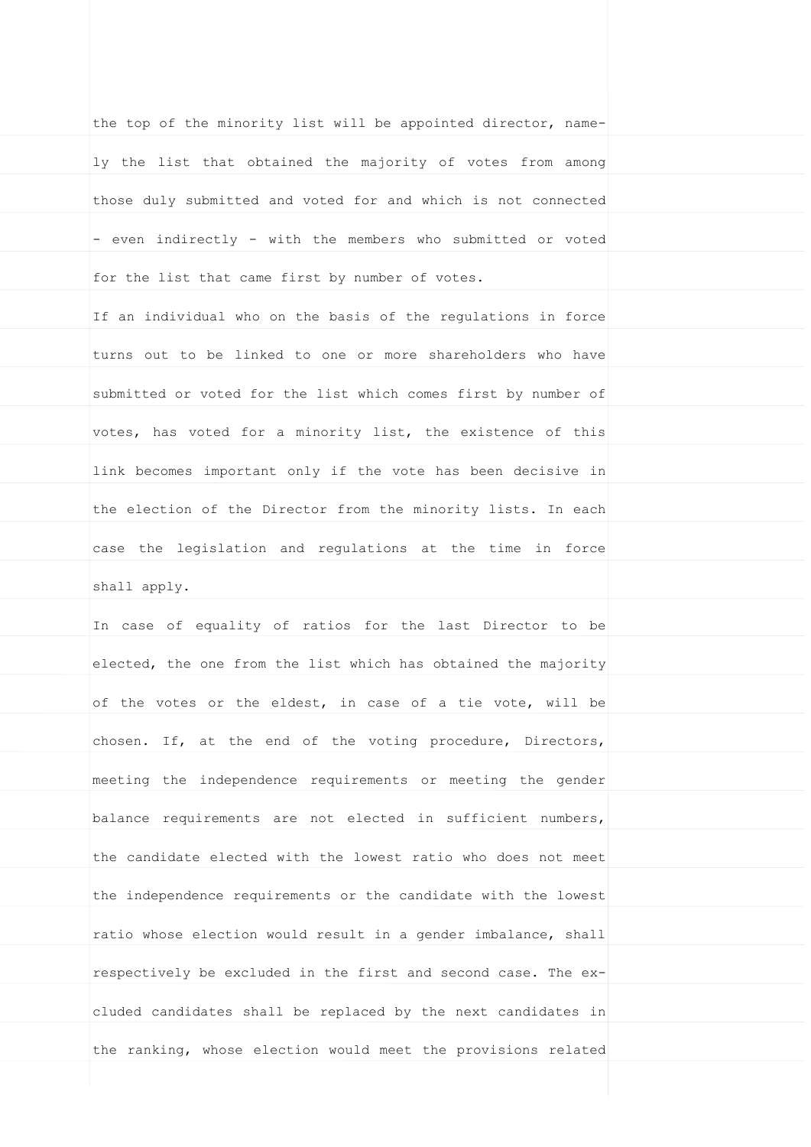the top of the minority list will be appointed director, namely the list that obtained the majority of votes from among those duly submitted and voted for and which is not connected - even indirectly - with the members who submitted or voted for the list that came first by number of votes. If an individual who on the basis of the regulations in force turns out to be linked to one or more shareholders who have submitted or voted for the list which comes first by number of votes, has voted for a minority list, the existence of this link becomes important only if the vote has been decisive in the election of the Director from the minority lists. In each case the legislation and regulations at the time in force shall apply. In case of equality of ratios for the last Director to be elected, the one from the list which has obtained the majority of the votes or the eldest, in case of a tie vote, will be chosen. If, at the end of the voting procedure, Directors, meeting the independence requirements or meeting the gender balance requirements are not elected in sufficient numbers, the candidate elected with the lowest ratio who does not meet the independence requirements or the candidate with the lowest ratio whose election would result in a gender imbalance, shall respectively be excluded in the first and second case. The excluded candidates shall be replaced by the next candidates in the ranking, whose election would meet the provisions related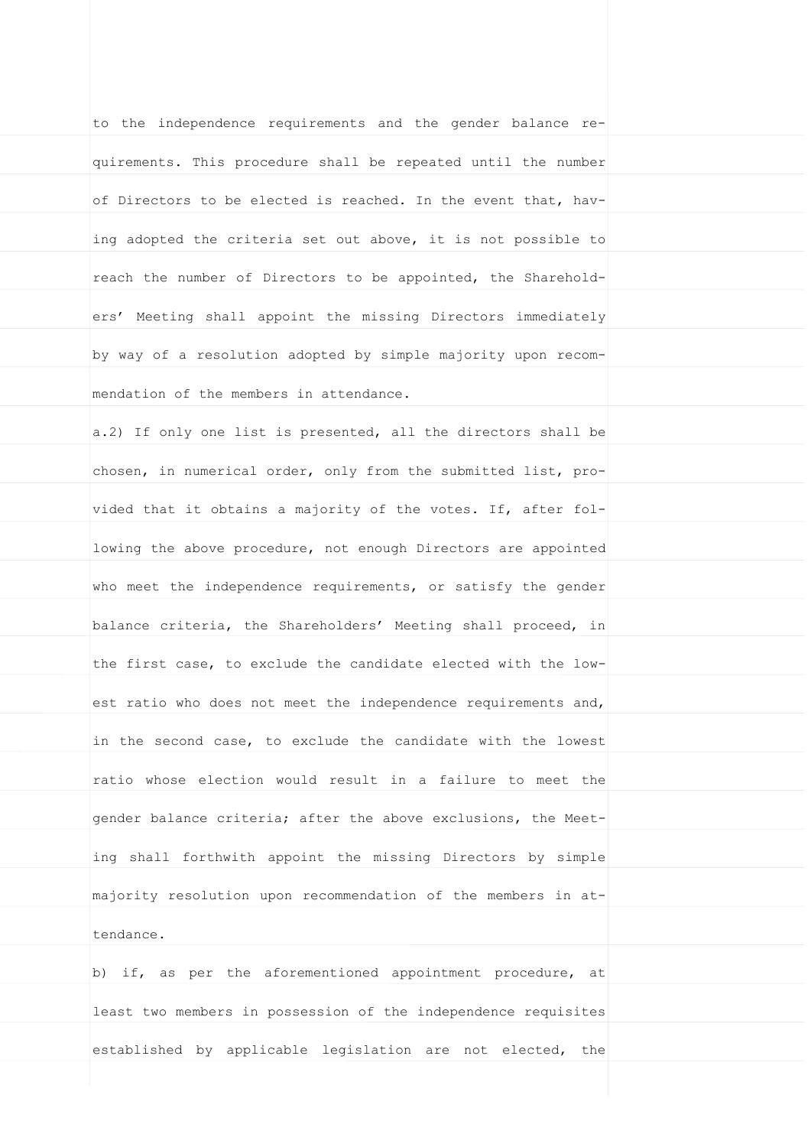| to the independence requirements and the gender balance re-    |  |
|----------------------------------------------------------------|--|
| quirements. This procedure shall be repeated until the number  |  |
| of Directors to be elected is reached. In the event that, hav- |  |
| ing adopted the criteria set out above, it is not possible to  |  |
| reach the number of Directors to be appointed, the Sharehold-  |  |
| ers' Meeting shall appoint the missing Directors immediately   |  |
| by way of a resolution adopted by simple majority upon recom-  |  |
| mendation of the members in attendance.                        |  |
| a.2) If only one list is presented, all the directors shall be |  |
| chosen, in numerical order, only from the submitted list, pro- |  |
| vided that it obtains a majority of the votes. If, after fol-  |  |
| lowing the above procedure, not enough Directors are appointed |  |
| who meet the independence requirements, or satisfy the gender  |  |
| balance criteria, the Shareholders' Meeting shall proceed, in  |  |
| the first case, to exclude the candidate elected with the low- |  |
| est ratio who does not meet the independence requirements and, |  |
| in the second case, to exclude the candidate with the lowest   |  |
| ratio whose election would result in a failure to meet the     |  |
| gender balance criteria; after the above exclusions, the Meet- |  |
| ing shall forthwith appoint the missing Directors by simple    |  |
| majority resolution upon recommendation of the members in at-  |  |
| tendance.                                                      |  |
| b) if, as per the aforementioned appointment procedure, at     |  |
| least two members in possession of the independence requisites |  |
| established by applicable legislation are not elected, the     |  |
|                                                                |  |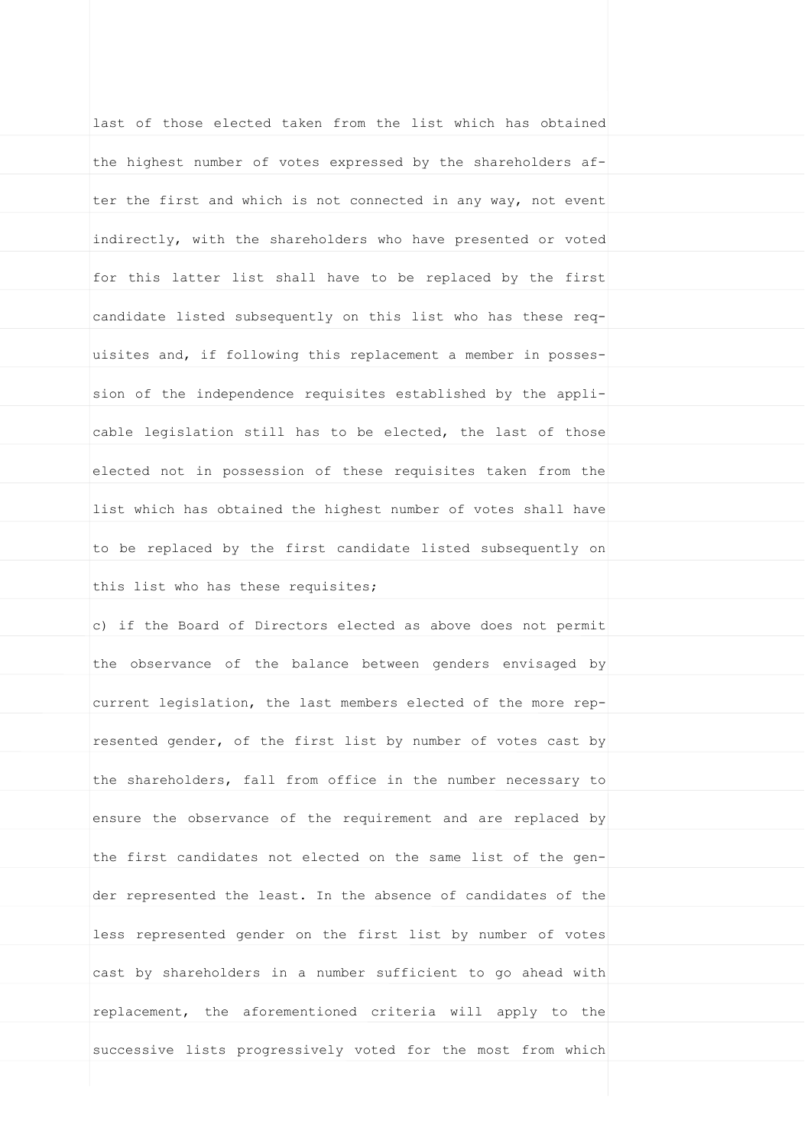last of those elected taken from the list which has obtained the highest number of votes expressed by the shareholders after the first and which is not connected in any way, not event indirectly, with the shareholders who have presented or voted for this latter list shall have to be replaced by the first candidate listed subsequently on this list who has these requisites and, if following this replacement a member in possession of the independence requisites established by the applicable legislation still has to be elected, the last of those elected not in possession of these requisites taken from the list which has obtained the highest number of votes shall have to be replaced by the first candidate listed subsequently on this list who has these requisites; c) if the Board of Directors elected as above does not permit the observance of the balance between genders envisaged by current legislation, the last members elected of the more represented gender, of the first list by number of votes cast by the shareholders, fall from office in the number necessary to ensure the observance of the requirement and are replaced by the first candidates not elected on the same list of the gender represented the least. In the absence of candidates of the less represented gender on the first list by number of votes cast by shareholders in a number sufficient to go ahead with replacement, the aforementioned criteria will apply to the successive lists progressively voted for the most from which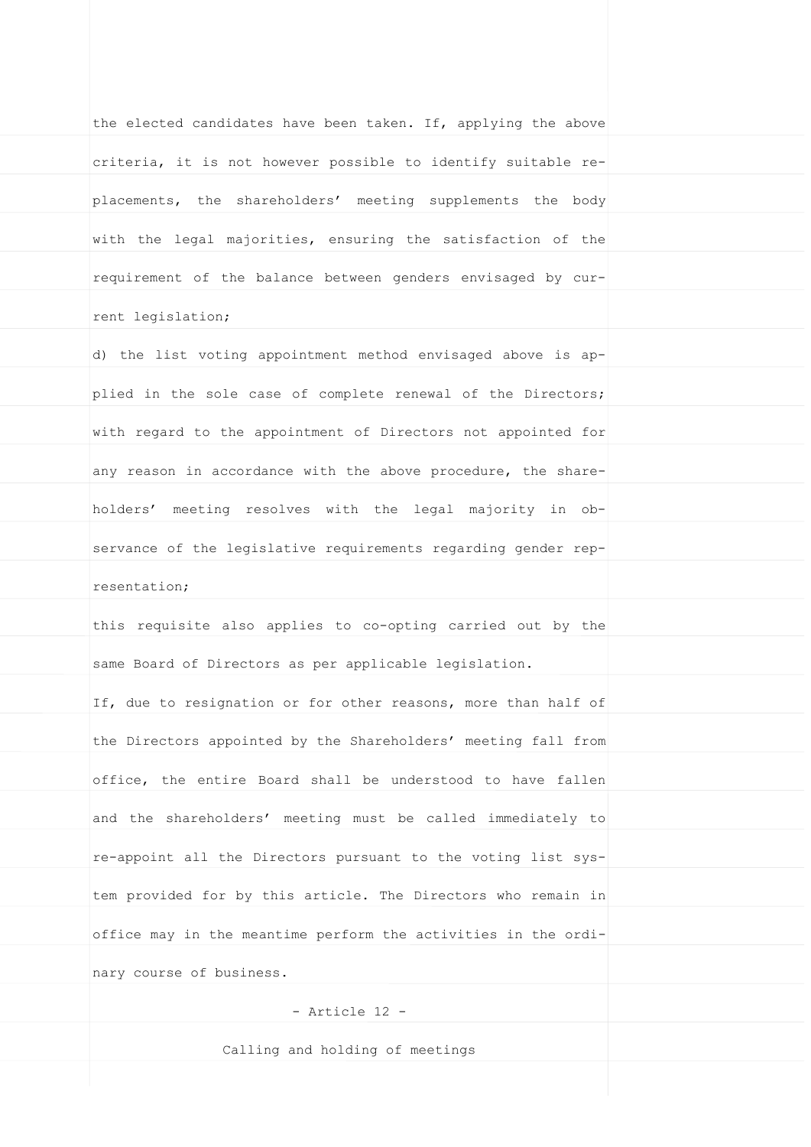the elected candidates have been taken. If, applying the above criteria, it is not however possible to identify suitable replacements, the shareholders' meeting supplements the body with the legal majorities, ensuring the satisfaction of the requirement of the balance between genders envisaged by current legislation; d) the list voting appointment method envisaged above is applied in the sole case of complete renewal of the Directors; with regard to the appointment of Directors not appointed for any reason in accordance with the above procedure, the shareholders' meeting resolves with the legal majority in observance of the legislative requirements regarding gender representation; this requisite also applies to co-opting carried out by the same Board of Directors as per applicable legislation. If, due to resignation or for other reasons, more than half of the Directors appointed by the Shareholders' meeting fall from office, the entire Board shall be understood to have fallen and the shareholders' meeting must be called immediately to re-appoint all the Directors pursuant to the voting list system provided for by this article. The Directors who remain in office may in the meantime perform the activities in the ordinary course of business. - Article 12 - Calling and holding of meetings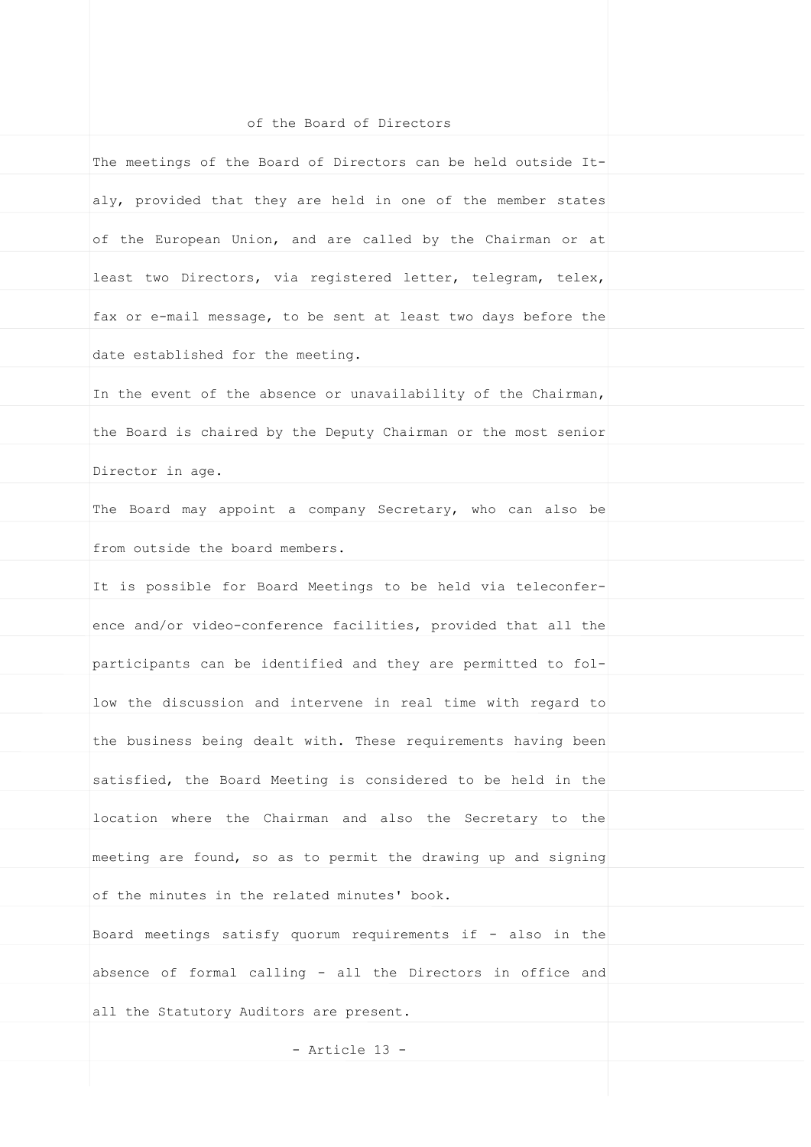| of the Board of Directors                                      |  |
|----------------------------------------------------------------|--|
| The meetings of the Board of Directors can be held outside It- |  |
| aly, provided that they are held in one of the member states   |  |
| of the European Union, and are called by the Chairman or at    |  |
| least two Directors, via registered letter, telegram, telex,   |  |
| fax or e-mail message, to be sent at least two days before the |  |
| date established for the meeting.                              |  |
| In the event of the absence or unavailability of the Chairman, |  |
| the Board is chaired by the Deputy Chairman or the most senior |  |
| Director in age.                                               |  |
| The Board may appoint a company Secretary, who can also be     |  |
| from outside the board members.                                |  |
| It is possible for Board Meetings to be held via teleconfer-   |  |
| ence and/or video-conference facilities, provided that all the |  |
| participants can be identified and they are permitted to fol-  |  |
| low the discussion and intervene in real time with regard to   |  |
| the business being dealt with. These requirements having been  |  |
| satisfied, the Board Meeting is considered to be held in the   |  |
| location where the Chairman and also the Secretary to the      |  |
| meeting are found, so as to permit the drawing up and signing  |  |
| of the minutes in the related minutes' book.                   |  |
| Board meetings satisfy quorum requirements if - also in the    |  |
| absence of formal calling - all the Directors in office and    |  |
| all the Statutory Auditors are present.                        |  |
| - Article 13 -                                                 |  |
|                                                                |  |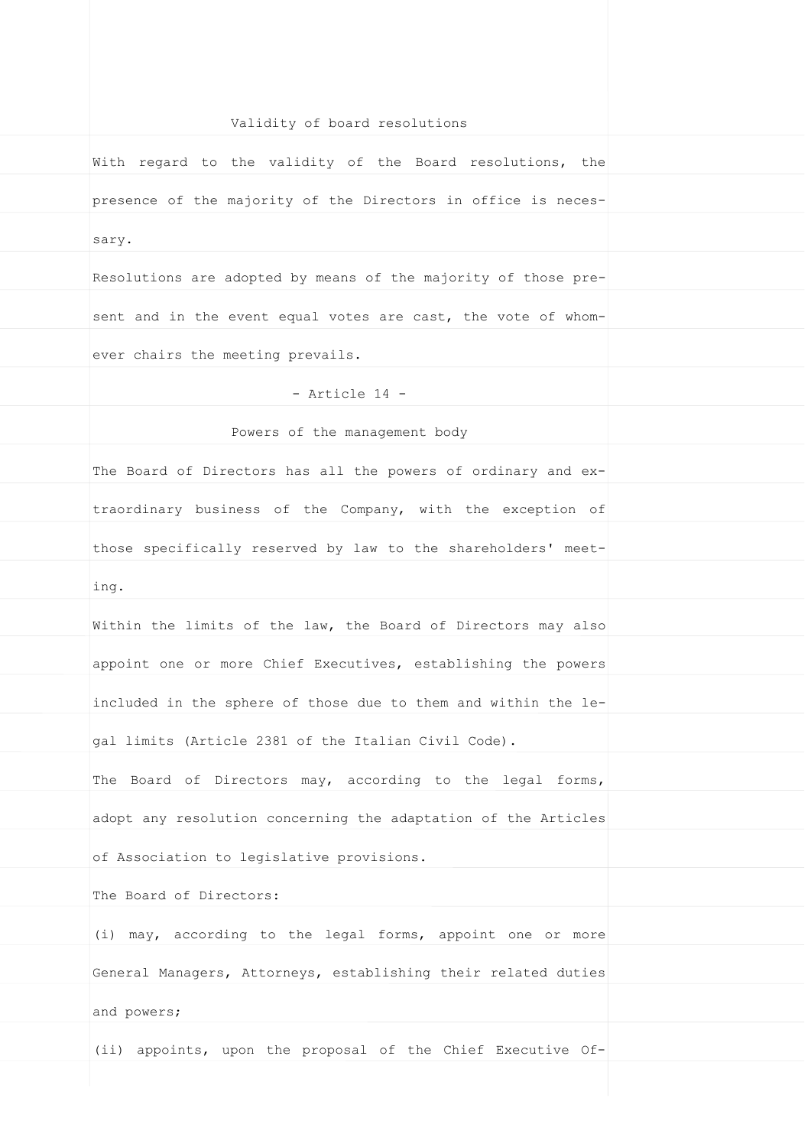| Validity of board resolutions                                  |  |
|----------------------------------------------------------------|--|
| With regard to the validity of the Board resolutions, the      |  |
| presence of the majority of the Directors in office is neces-  |  |
| sary.                                                          |  |
| Resolutions are adopted by means of the majority of those pre- |  |
| sent and in the event equal votes are cast, the vote of whom-  |  |
| ever chairs the meeting prevails.                              |  |
| - Article 14 -                                                 |  |
| Powers of the management body                                  |  |
| The Board of Directors has all the powers of ordinary and ex-  |  |
| traordinary business of the Company, with the exception of     |  |
| those specifically reserved by law to the shareholders' meet-  |  |
| ing.                                                           |  |
| Within the limits of the law, the Board of Directors may also  |  |
| appoint one or more Chief Executives, establishing the powers  |  |
| included in the sphere of those due to them and within the le- |  |
| gal limits (Article 2381 of the Italian Civil Code).           |  |
| The Board of Directors may, according to the legal forms,      |  |
| adopt any resolution concerning the adaptation of the Articles |  |
| of Association to legislative provisions.                      |  |
| The Board of Directors:                                        |  |
| (i) may, according to the legal forms, appoint one or more     |  |
| General Managers, Attorneys, establishing their related duties |  |
| and powers;                                                    |  |
| (ii) appoints, upon the proposal of the Chief Executive Of-    |  |
|                                                                |  |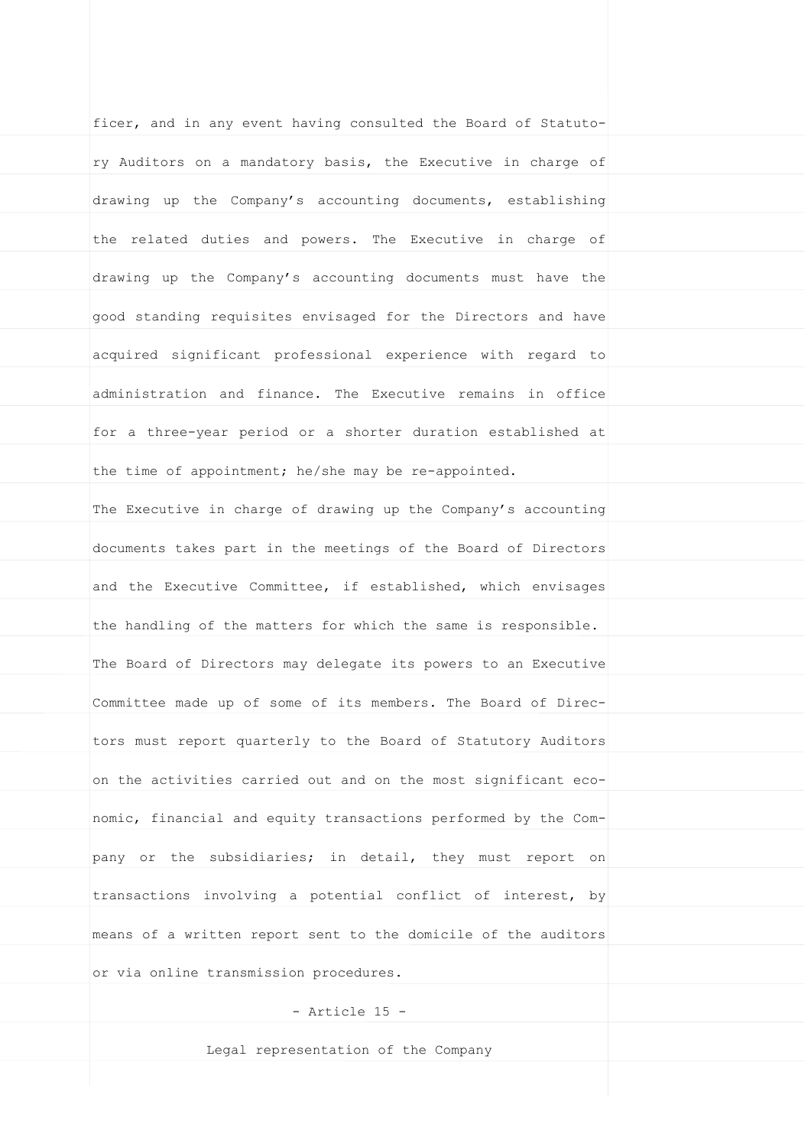ficer, and in any event having consulted the Board of Statutory Auditors on a mandatory basis, the Executive in charge of drawing up the Company's accounting documents, establishing the related duties and powers. The Executive in charge of drawing up the Company's accounting documents must have the good standing requisites envisaged for the Directors and have acquired significant professional experience with regard to administration and finance. The Executive remains in office for a three-year period or a shorter duration established at the time of appointment; he/she may be re-appointed. The Executive in charge of drawing up the Company's accounting documents takes part in the meetings of the Board of Directors and the Executive Committee, if established, which envisages the handling of the matters for which the same is responsible. The Board of Directors may delegate its powers to an Executive Committee made up of some of its members. The Board of Directors must report quarterly to the Board of Statutory Auditors on the activities carried out and on the most significant economic, financial and equity transactions performed by the Company or the subsidiaries; in detail, they must report on transactions involving a potential conflict of interest, by means of a written report sent to the domicile of the auditors or via online transmission procedures. - Article 15 - Legal representation of the Company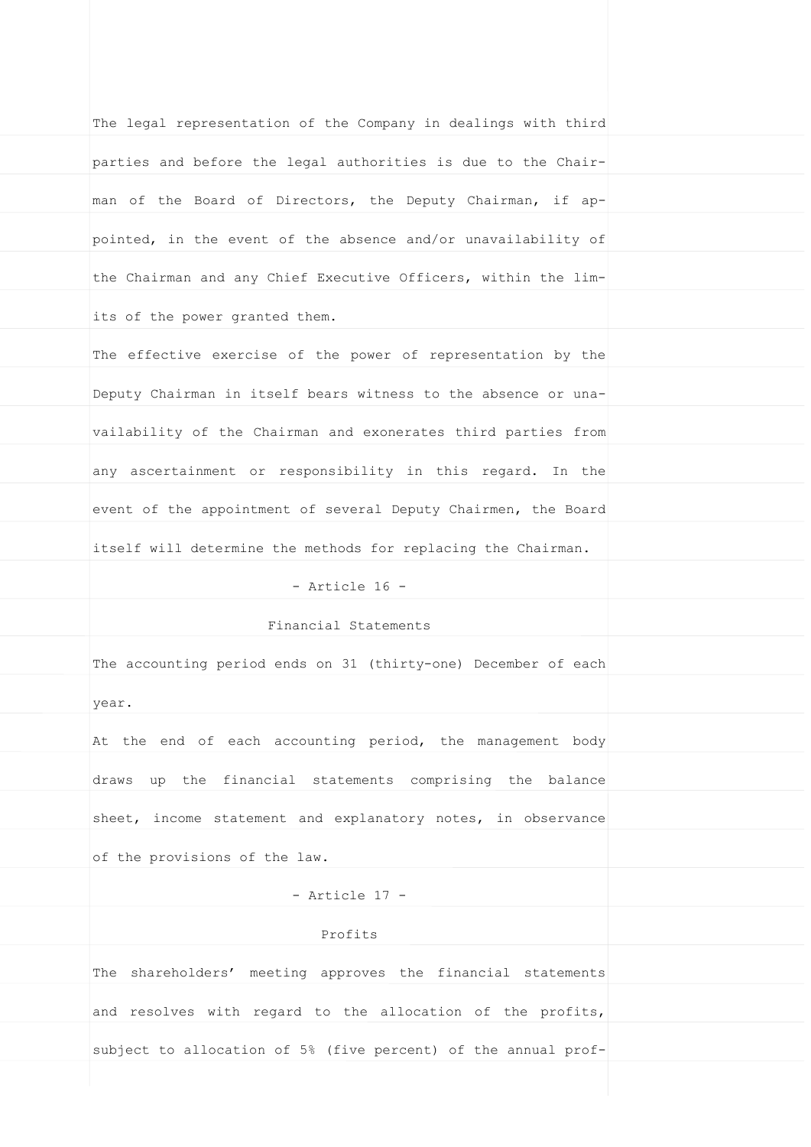| The legal representation of the Company in dealings with third |  |
|----------------------------------------------------------------|--|
| parties and before the legal authorities is due to the Chair-  |  |
|                                                                |  |
| man of the Board of Directors, the Deputy Chairman, if ap-     |  |
| pointed, in the event of the absence and/or unavailability of  |  |
| the Chairman and any Chief Executive Officers, within the lim- |  |
| its of the power granted them.                                 |  |
| The effective exercise of the power of representation by the   |  |
| Deputy Chairman in itself bears witness to the absence or una- |  |
| vailability of the Chairman and exonerates third parties from  |  |
| any ascertainment or responsibility in this regard. In the     |  |
| event of the appointment of several Deputy Chairmen, the Board |  |
| itself will determine the methods for replacing the Chairman.  |  |
| - Article 16 -                                                 |  |
| Financial Statements                                           |  |
| The accounting period ends on 31 (thirty-one) December of each |  |
| year.                                                          |  |
| At the end of each accounting period, the management body      |  |
| draws up the financial statements comprising the balance       |  |
| sheet, income statement and explanatory notes, in observance   |  |
| of the provisions of the law.                                  |  |
| - Article 17 -                                                 |  |
| Profits                                                        |  |
| The shareholders' meeting approves the financial statements    |  |
| and resolves with regard to the allocation of the profits,     |  |
|                                                                |  |
| subject to allocation of 5% (five percent) of the annual prof- |  |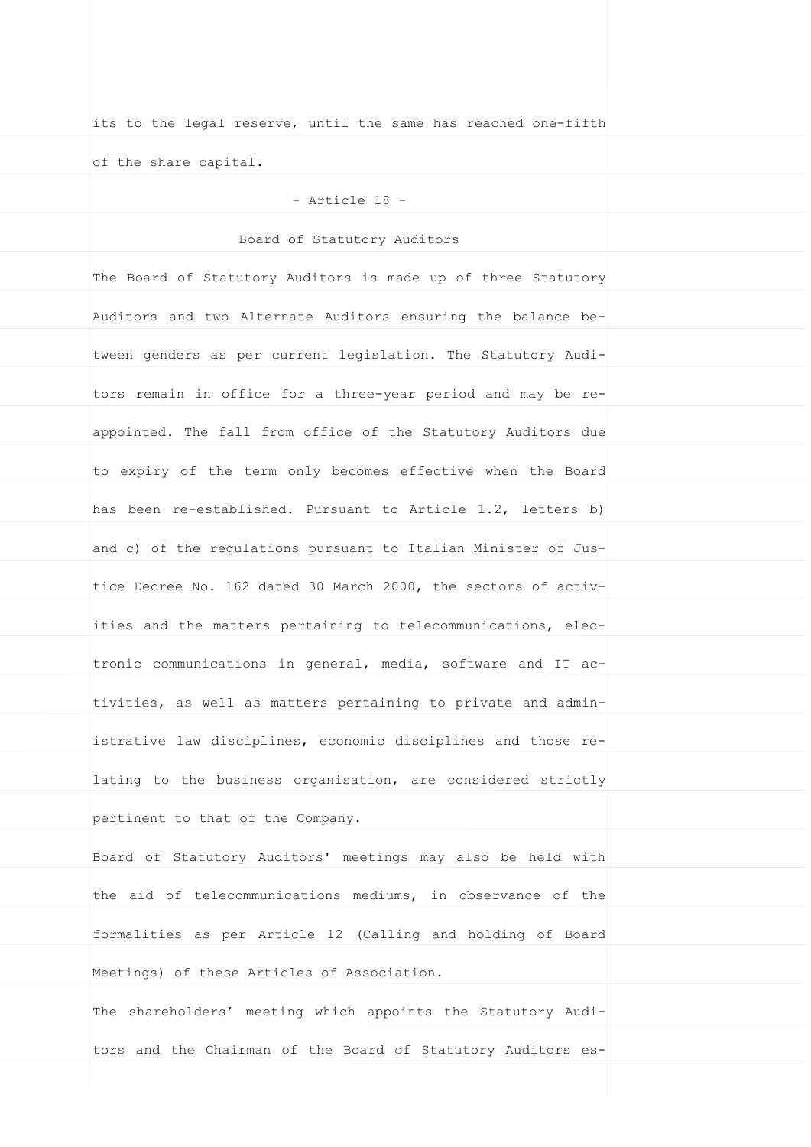| its to the legal reserve, until the same has reached one-fifth |  |
|----------------------------------------------------------------|--|
| of the share capital.                                          |  |
| - Article 18 -                                                 |  |
| Board of Statutory Auditors                                    |  |
| The Board of Statutory Auditors is made up of three Statutory  |  |
| Auditors and two Alternate Auditors ensuring the balance be-   |  |
| tween genders as per current legislation. The Statutory Audi-  |  |
| tors remain in office for a three-year period and may be re-   |  |
| appointed. The fall from office of the Statutory Auditors due  |  |
| to expiry of the term only becomes effective when the Board    |  |
| has been re-established. Pursuant to Article 1.2, letters b)   |  |
| and c) of the regulations pursuant to Italian Minister of Jus- |  |
| tice Decree No. 162 dated 30 March 2000, the sectors of activ- |  |
| ities and the matters pertaining to telecommunications, elec-  |  |
| tronic communications in general, media, software and IT ac-   |  |
| tivities, as well as matters pertaining to private and admin-  |  |
| istrative law disciplines, economic disciplines and those re-  |  |
| lating to the business organisation, are considered strictly   |  |
| pertinent to that of the Company.                              |  |
| Board of Statutory Auditors' meetings may also be held with    |  |
| the aid of telecommunications mediums, in observance of the    |  |
| formalities as per Article 12 (Calling and holding of Board    |  |
| Meetings) of these Articles of Association.                    |  |
| The shareholders' meeting which appoints the Statutory Audi-   |  |
| tors and the Chairman of the Board of Statutory Auditors es-   |  |
|                                                                |  |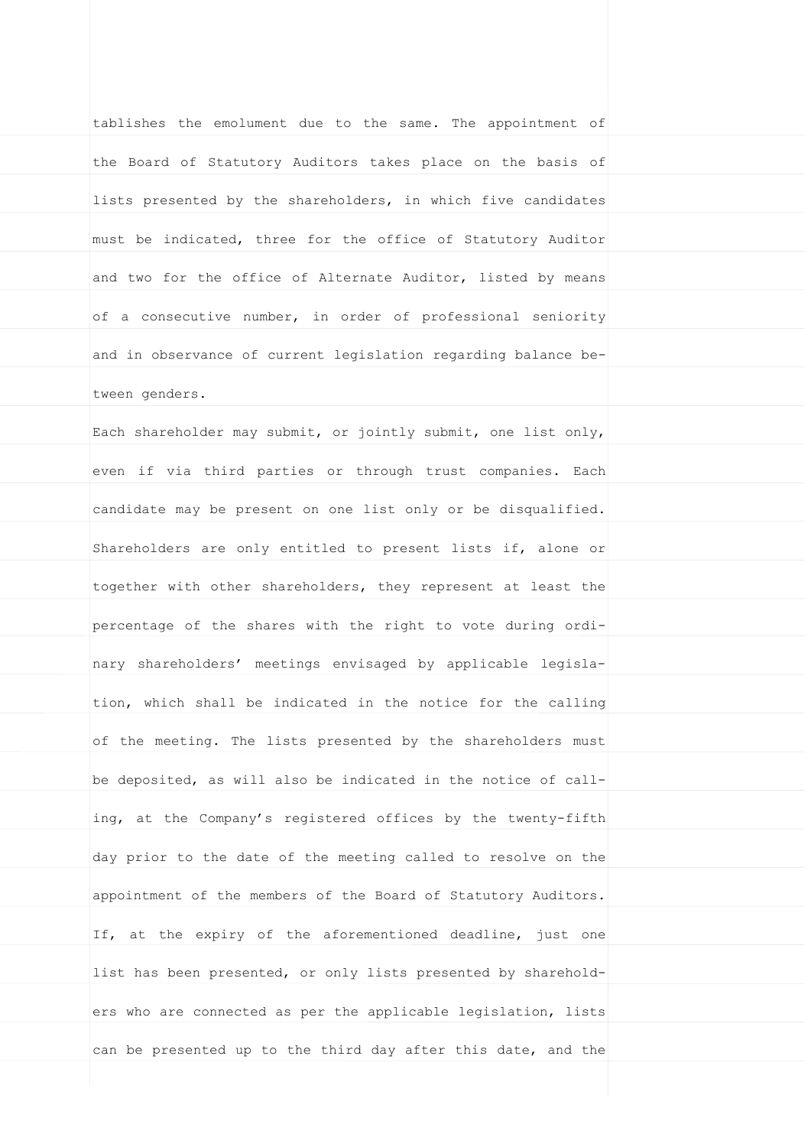| tablishes the emolument due to the same. The appointment of    |  |
|----------------------------------------------------------------|--|
| the Board of Statutory Auditors takes place on the basis of    |  |
| lists presented by the shareholders, in which five candidates  |  |
| must be indicated, three for the office of Statutory Auditor   |  |
| and two for the office of Alternate Auditor, listed by means   |  |
| of a consecutive number, in order of professional seniority    |  |
| and in observance of current legislation regarding balance be- |  |
| tween genders.                                                 |  |
| Each shareholder may submit, or jointly submit, one list only, |  |
| even if via third parties or through trust companies. Each     |  |
| candidate may be present on one list only or be disqualified.  |  |
| Shareholders are only entitled to present lists if, alone or   |  |
| together with other shareholders, they represent at least the  |  |
| percentage of the shares with the right to vote during ordi-   |  |
| nary shareholders' meetings envisaged by applicable legisla-   |  |
| tion, which shall be indicated in the notice for the calling   |  |
| of the meeting. The lists presented by the shareholders must   |  |
| be deposited, as will also be indicated in the notice of call- |  |
| ing, at the Company's registered offices by the twenty-fifth   |  |
| day prior to the date of the meeting called to resolve on the  |  |
| appointment of the members of the Board of Statutory Auditors. |  |
| If, at the expiry of the aforementioned deadline, just one     |  |
| list has been presented, or only lists presented by sharehold- |  |
| ers who are connected as per the applicable legislation, lists |  |
| can be presented up to the third day after this date, and the  |  |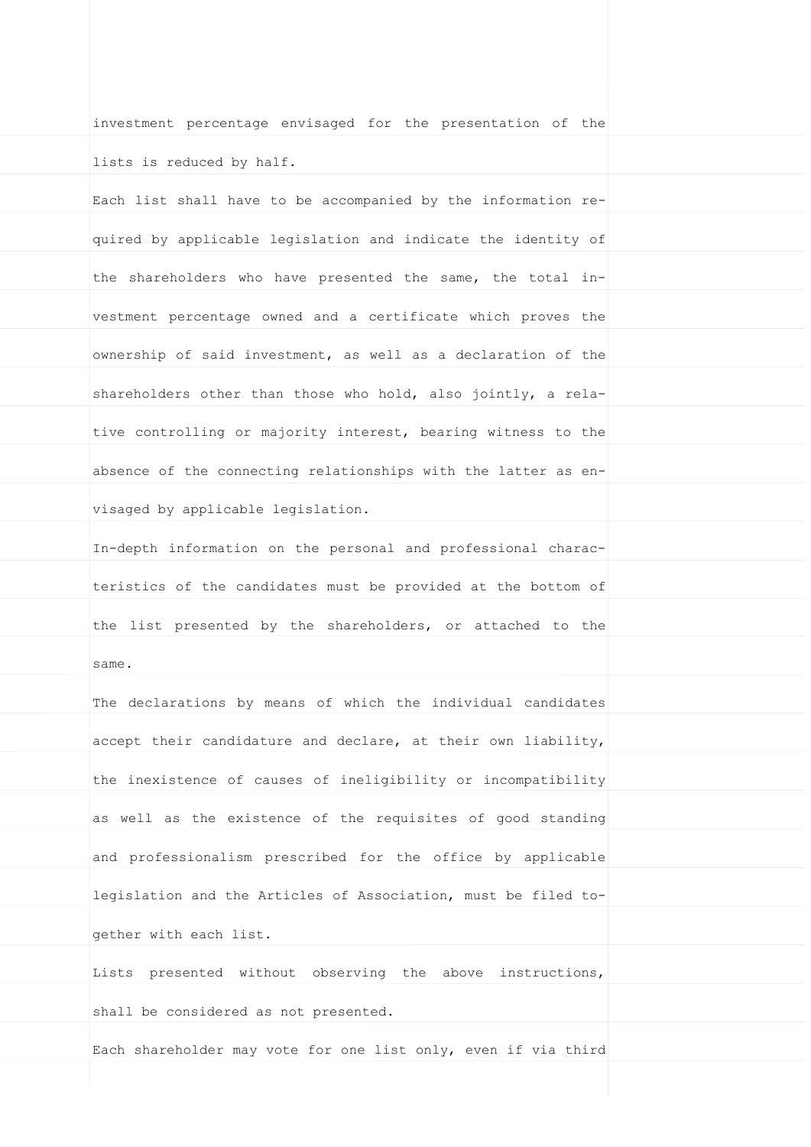| investment percentage envisaged for the presentation of the    |  |
|----------------------------------------------------------------|--|
| lists is reduced by half.                                      |  |
| Each list shall have to be accompanied by the information re-  |  |
| quired by applicable legislation and indicate the identity of  |  |
| the shareholders who have presented the same, the total in-    |  |
| vestment percentage owned and a certificate which proves the   |  |
| ownership of said investment, as well as a declaration of the  |  |
| shareholders other than those who hold, also jointly, a rela-  |  |
| tive controlling or majority interest, bearing witness to the  |  |
| absence of the connecting relationships with the latter as en- |  |
| visaged by applicable legislation.                             |  |
| In-depth information on the personal and professional charac-  |  |
| teristics of the candidates must be provided at the bottom of  |  |
| the list presented by the shareholders, or attached to the     |  |
| same.                                                          |  |
| The declarations by means of which the individual candidates   |  |
| accept their candidature and declare, at their own liability,  |  |
| the inexistence of causes of ineligibility or incompatibility  |  |
| as well as the existence of the requisites of good standing    |  |
| and professionalism prescribed for the office by applicable    |  |
| legislation and the Articles of Association, must be filed to- |  |
| gether with each list.                                         |  |
| Lists presented without observing the above instructions,      |  |
| shall be considered as not presented.                          |  |
| Each shareholder may vote for one list only, even if via third |  |
|                                                                |  |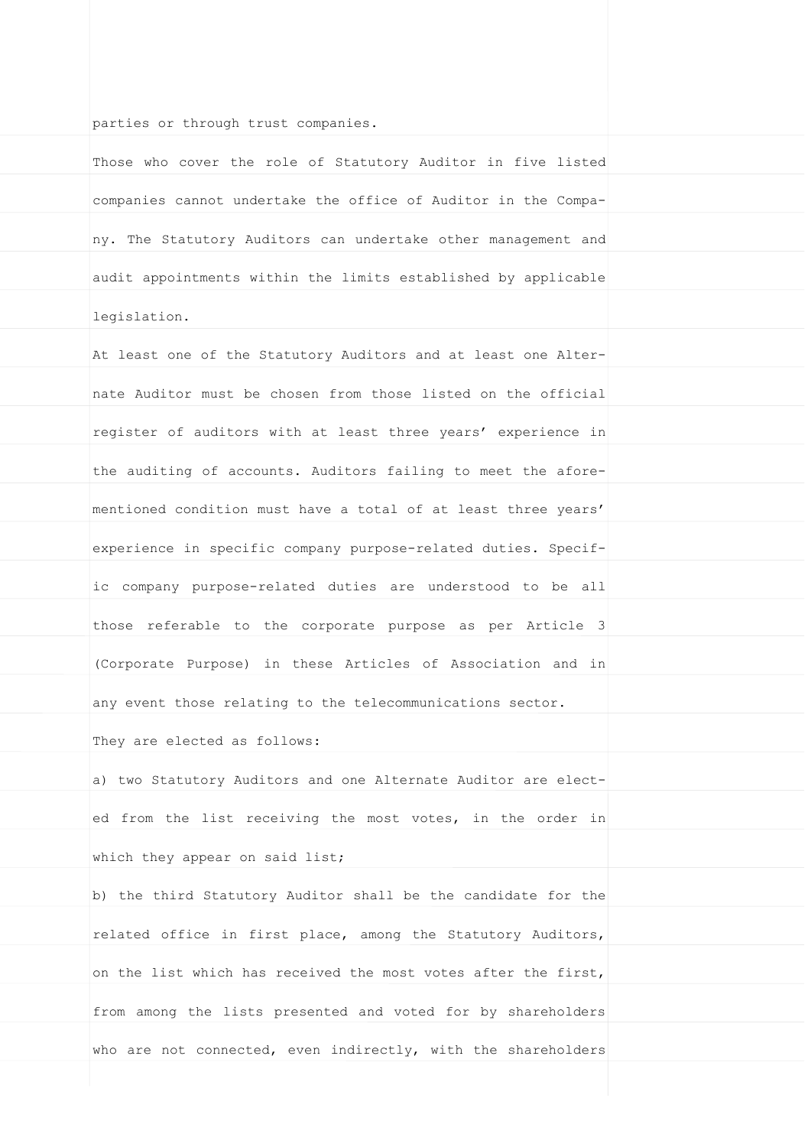| parties or through trust companies.                            |  |
|----------------------------------------------------------------|--|
| Those who cover the role of Statutory Auditor in five listed   |  |
| companies cannot undertake the office of Auditor in the Compa- |  |
| ny. The Statutory Auditors can undertake other management and  |  |
| audit appointments within the limits established by applicable |  |
| legislation.                                                   |  |
| At least one of the Statutory Auditors and at least one Alter- |  |
| nate Auditor must be chosen from those listed on the official  |  |
| register of auditors with at least three years' experience in  |  |
| the auditing of accounts. Auditors failing to meet the afore-  |  |
| mentioned condition must have a total of at least three years' |  |
| experience in specific company purpose-related duties. Specif- |  |
| ic company purpose-related duties are understood to be all     |  |
| those referable to the corporate purpose as per Article 3      |  |
| (Corporate Purpose) in these Articles of Association and in    |  |
| any event those relating to the telecommunications sector.     |  |
| They are elected as follows:                                   |  |
| a) two Statutory Auditors and one Alternate Auditor are elect- |  |
| ed from the list receiving the most votes, in the order in     |  |
| which they appear on said list;                                |  |
| b) the third Statutory Auditor shall be the candidate for the  |  |
| related office in first place, among the Statutory Auditors,   |  |
| on the list which has received the most votes after the first, |  |
| from among the lists presented and voted for by shareholders   |  |
| who are not connected, even indirectly, with the shareholders  |  |
|                                                                |  |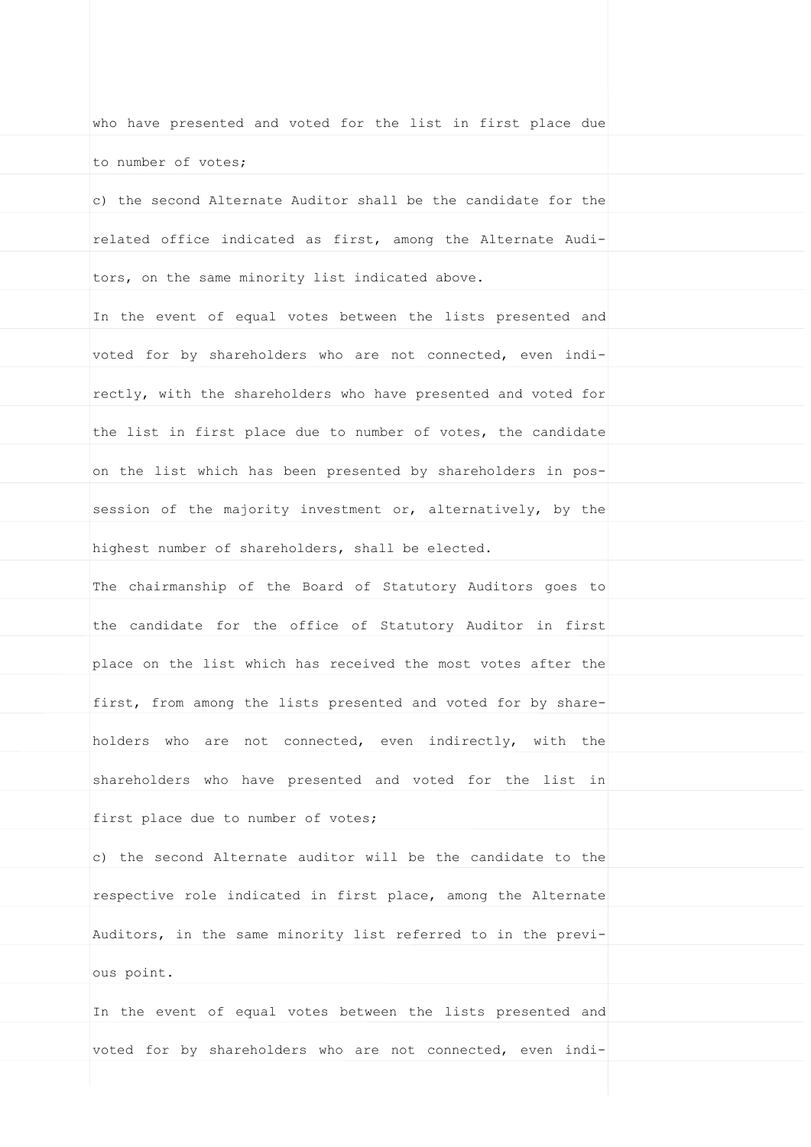| who have presented and voted for the list in first place due   |  |
|----------------------------------------------------------------|--|
| to number of votes;                                            |  |
| c) the second Alternate Auditor shall be the candidate for the |  |
| related office indicated as first, among the Alternate Audi-   |  |
| tors, on the same minority list indicated above.               |  |
| In the event of equal votes between the lists presented and    |  |
| voted for by shareholders who are not connected, even indi-    |  |
| rectly, with the shareholders who have presented and voted for |  |
| the list in first place due to number of votes, the candidate  |  |
| on the list which has been presented by shareholders in pos-   |  |
| session of the majority investment or, alternatively, by the   |  |
| highest number of shareholders, shall be elected.              |  |
| The chairmanship of the Board of Statutory Auditors goes to    |  |
| the candidate for the office of Statutory Auditor in first     |  |
| place on the list which has received the most votes after the  |  |
| first, from among the lists presented and voted for by share-  |  |
| holders who are not connected, even indirectly, with the       |  |
| shareholders who have presented and voted for the list in      |  |
| first place due to number of votes;                            |  |
| c) the second Alternate auditor will be the candidate to the   |  |
| respective role indicated in first place, among the Alternate  |  |
| Auditors, in the same minority list referred to in the previ-  |  |
| ous point.                                                     |  |
| In the event of equal votes between the lists presented and    |  |
| voted for by shareholders who are not connected, even indi-    |  |
|                                                                |  |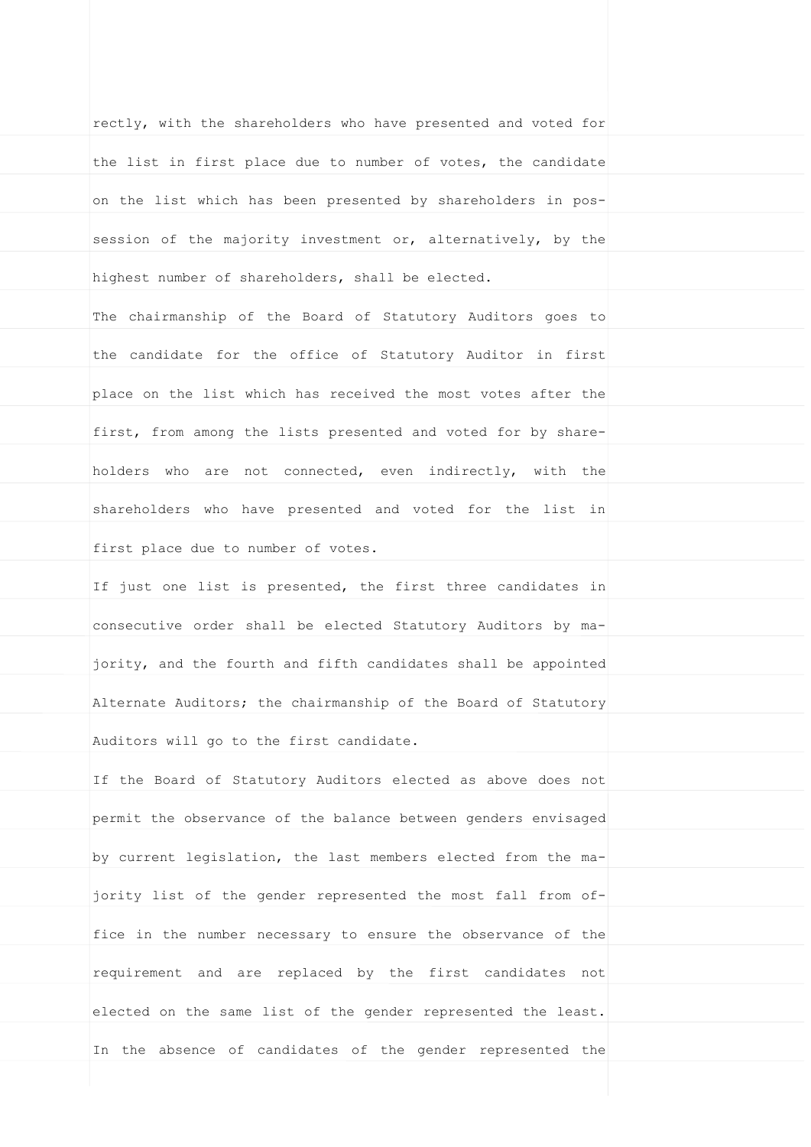| rectly, with the shareholders who have presented and voted for |  |
|----------------------------------------------------------------|--|
| the list in first place due to number of votes, the candidate  |  |
| on the list which has been presented by shareholders in pos-   |  |
| session of the majority investment or, alternatively, by the   |  |
| highest number of shareholders, shall be elected.              |  |
| The chairmanship of the Board of Statutory Auditors goes to    |  |
| the candidate for the office of Statutory Auditor in first     |  |
| place on the list which has received the most votes after the  |  |
| first, from among the lists presented and voted for by share-  |  |
| holders who are not connected, even indirectly, with the       |  |
| shareholders who have presented and voted for the list in      |  |
| first place due to number of votes.                            |  |
| If just one list is presented, the first three candidates in   |  |
| consecutive order shall be elected Statutory Auditors by ma-   |  |
| jority, and the fourth and fifth candidates shall be appointed |  |
| Alternate Auditors; the chairmanship of the Board of Statutory |  |
| Auditors will go to the first candidate.                       |  |
| If the Board of Statutory Auditors elected as above does not   |  |
| permit the observance of the balance between genders envisaged |  |
| by current legislation, the last members elected from the ma-  |  |
| jority list of the gender represented the most fall from of-   |  |
| fice in the number necessary to ensure the observance of the   |  |
| requirement and are replaced by the first candidates not       |  |
| elected on the same list of the gender represented the least.  |  |
| In the absence of candidates of the gender represented the     |  |
|                                                                |  |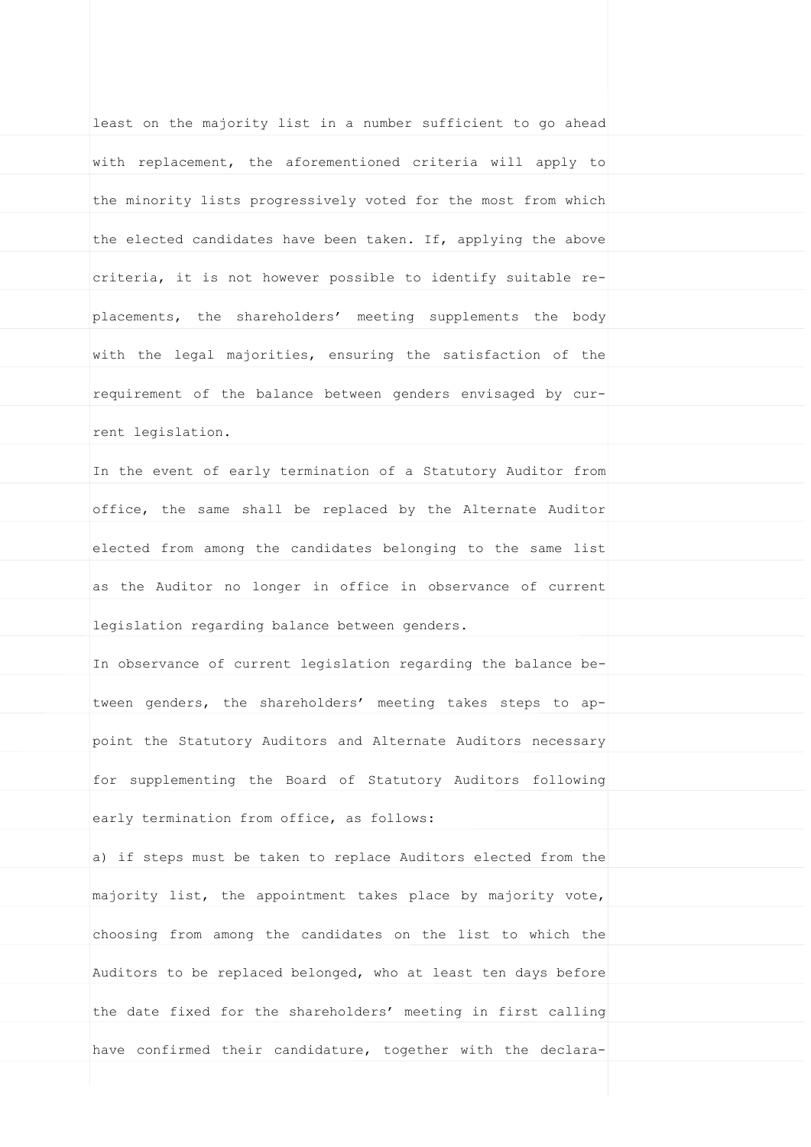least on the majority list in a number sufficient to go ahead with replacement, the aforementioned criteria will apply to the minority lists progressively voted for the most from which the elected candidates have been taken. If, applying the above criteria, it is not however possible to identify suitable replacements, the shareholders' meeting supplements the body with the legal majorities, ensuring the satisfaction of the requirement of the balance between genders envisaged by current legislation. In the event of early termination of a Statutory Auditor from office, the same shall be replaced by the Alternate Auditor elected from among the candidates belonging to the same list as the Auditor no longer in office in observance of current legislation regarding balance between genders. In observance of current legislation regarding the balance between genders, the shareholders' meeting takes steps to appoint the Statutory Auditors and Alternate Auditors necessary for supplementing the Board of Statutory Auditors following early termination from office, as follows: a) if steps must be taken to replace Auditors elected from the majority list, the appointment takes place by majority vote, choosing from among the candidates on the list to which the Auditors to be replaced belonged, who at least ten days before the date fixed for the shareholders' meeting in first calling have confirmed their candidature, together with the declara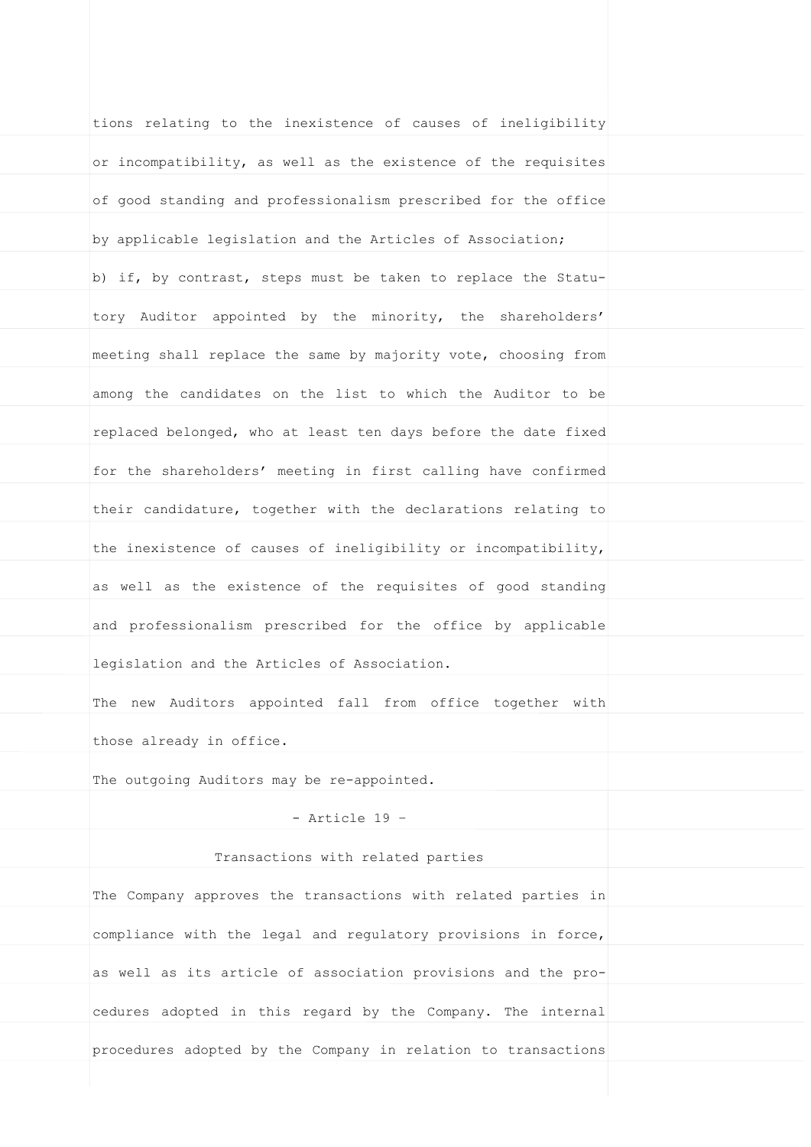tions relating to the inexistence of causes of ineligibility or incompatibility, as well as the existence of the requisites of good standing and professionalism prescribed for the office by applicable legislation and the Articles of Association; b) if, by contrast, steps must be taken to replace the Statutory Auditor appointed by the minority, the shareholders' meeting shall replace the same by majority vote, choosing from among the candidates on the list to which the Auditor to be replaced belonged, who at least ten days before the date fixed for the shareholders' meeting in first calling have confirmed their candidature, together with the declarations relating to the inexistence of causes of ineligibility or incompatibility, as well as the existence of the requisites of good standing and professionalism prescribed for the office by applicable legislation and the Articles of Association. The new Auditors appointed fall from office together with those already in office. The outgoing Auditors may be re-appointed. - Article 19 – Transactions with related parties The Company approves the transactions with related parties in compliance with the legal and regulatory provisions in force, as well as its article of association provisions and the procedures adopted in this regard by the Company. The internal procedures adopted by the Company in relation to transactions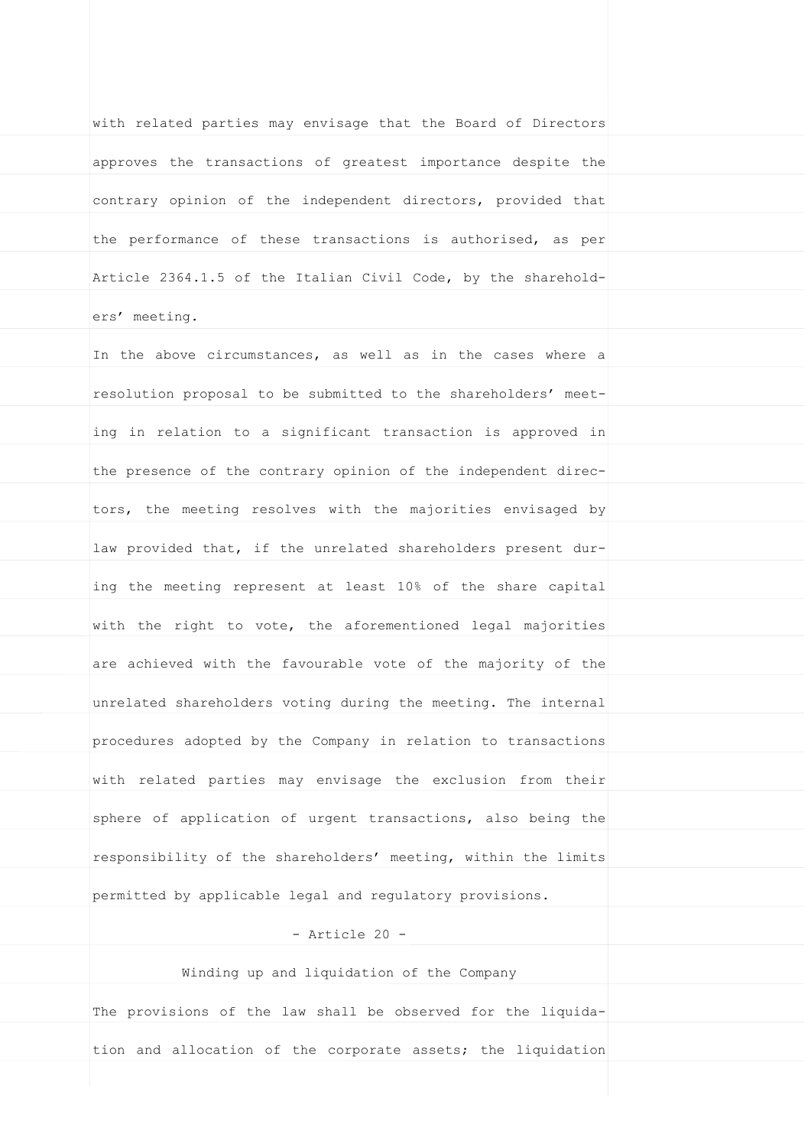with related parties may envisage that the Board of Directors approves the transactions of greatest importance despite the contrary opinion of the independent directors, provided that the performance of these transactions is authorised, as per Article 2364.1.5 of the Italian Civil Code, by the shareholders' meeting. In the above circumstances, as well as in the cases where a resolution proposal to be submitted to the shareholders' meeting in relation to a significant transaction is approved in the presence of the contrary opinion of the independent directors, the meeting resolves with the majorities envisaged by law provided that, if the unrelated shareholders present during the meeting represent at least 10% of the share capital with the right to vote, the aforementioned legal majorities are achieved with the favourable vote of the majority of the unrelated shareholders voting during the meeting. The internal procedures adopted by the Company in relation to transactions with related parties may envisage the exclusion from their sphere of application of urgent transactions, also being the responsibility of the shareholders' meeting, within the limits permitted by applicable legal and regulatory provisions. - Article 20 - Winding up and liquidation of the Company The provisions of the law shall be observed for the liquidation and allocation of the corporate assets; the liquidation